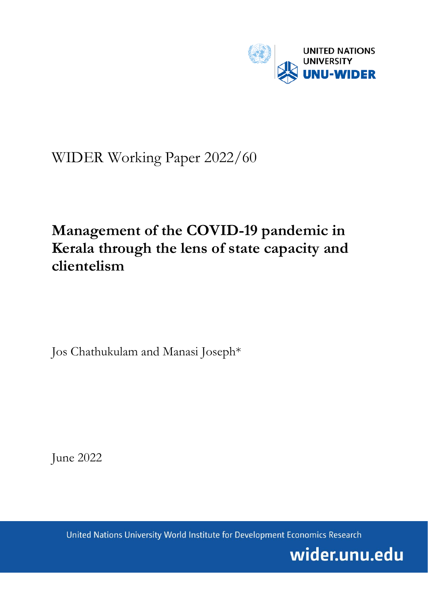

# WIDER Working Paper 2022/60

# **Management of the COVID-19 pandemic in Kerala through the lens of state capacity and clientelism**

Jos Chathukulam and Manasi Joseph\*

June 2022

United Nations University World Institute for Development Economics Research

wider.unu.edu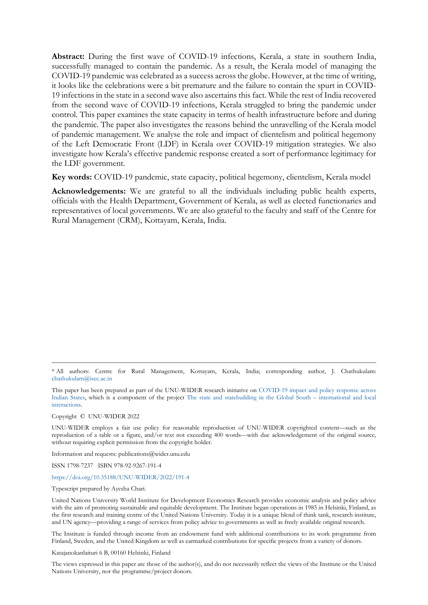**Abstract:** During the first wave of COVID-19 infections, Kerala, a state in southern India, successfully managed to contain the pandemic. As a result, the Kerala model of managing the COVID-19 pandemic was celebrated as a success across the globe. However, at the time of writing, it looks like the celebrations were a bit premature and the failure to contain the spurt in COVID-19 infections in the state in a second wave also ascertains this fact. While the rest of India recovered from the second wave of COVID-19 infections, Kerala struggled to bring the pandemic under control. This paper examines the state capacity in terms of health infrastructure before and during the pandemic. The paper also investigates the reasons behind the unravelling of the Kerala model of pandemic management. We analyse the role and impact of clientelism and political hegemony of the Left Democratic Front (LDF) in Kerala over COVID-19 mitigation strategies. We also investigate how Kerala's effective pandemic response created a sort of performance legitimacy for the LDF government.

**Key words:** COVID-19 pandemic, state capacity, political hegemony, clientelism, Kerala model

**Acknowledgements:** We are grateful to all the individuals including public health experts, officials with the Health Department, Government of Kerala, as well as elected functionaries and representatives of local governments. We are also grateful to the faculty and staff of the Centre for Rural Management (CRM), Kottayam, Kerala, India.

This paper has been prepared as part of the UNU-WIDER research initiative on [COVID-19 impact and policy response across](https://www.wider.unu.edu/node/239529)  [Indian States,](https://www.wider.unu.edu/node/239529) which is a component of the project [The state and statebuilding in the Global South –](https://www.wider.unu.edu/node/237413) international and local [interactions.](https://www.wider.unu.edu/node/237413)

Copyright © UNU-WIDER 2022

UNU-WIDER employs a fair use policy for reasonable reproduction of UNU-WIDER copyrighted content—such as the reproduction of a table or a figure, and/or text not exceeding 400 words—with due acknowledgement of the original source, without requiring explicit permission from the copyright holder.

Information and requests: publications@wider.unu.edu

ISSN 1798-7237 ISBN 978-92-9267-191-4

# <https://doi.org/10.35188/UNU-WIDER/2022/191-4>

Typescript prepared by Ayesha Chari.

United Nations University World Institute for Development Economics Research provides economic analysis and policy advice with the aim of promoting sustainable and equitable development. The Institute began operations in 1985 in Helsinki, Finland, as the first research and training centre of the United Nations University. Today it is a unique blend of think tank, research institute, and UN agency—providing a range of services from policy advice to governments as well as freely available original research.

The Institute is funded through income from an endowment fund with additional contributions to its work programme from Finland, Sweden, and the United Kingdom as well as earmarked contributions for specific projects from a variety of donors.

Katajanokanlaituri 6 B, 00160 Helsinki, Finland

The views expressed in this paper are those of the author(s), and do not necessarily reflect the views of the Institute or the United Nations University, nor the programme/project donors.

<sup>\*</sup> All authors: Centre for Rural Management, Kottayam, Kerala, India; corresponding author, J. Chathukulam: [chathukulam@isec.ac.in](mailto:chathukulam@isec.ac.in)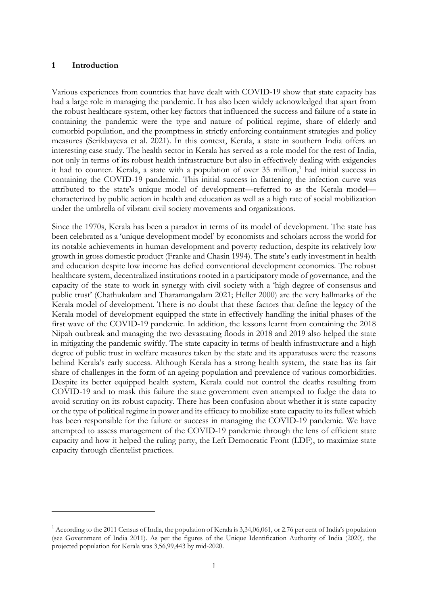# **1 Introduction**

Various experiences from countries that have dealt with COVID-19 show that state capacity has had a large role in managing the pandemic. It has also been widely acknowledged that apart from the robust healthcare system, other key factors that influenced the success and failure of a state in containing the pandemic were the type and nature of political regime, share of elderly and comorbid population, and the promptness in strictly enforcing containment strategies and policy measures (Serikbayeva et al. 2021). In this context, Kerala, a state in southern India offers an interesting case study. The health sector in Kerala has served as a role model for the rest of India, not only in terms of its robust health infrastructure but also in effectively dealing with exigencies it had to counter. Kerala, a state with a population of over 35 million, [1](#page-2-0) had initial success in containing the COVID-19 pandemic. This initial success in flattening the infection curve was attributed to the state's unique model of development—referred to as the Kerala model characterized by public action in health and education as well as a high rate of social mobilization under the umbrella of vibrant civil society movements and organizations.

Since the 1970s, Kerala has been a paradox in terms of its model of development. The state has been celebrated as a 'unique development model' by economists and scholars across the world for its notable achievements in human development and poverty reduction, despite its relatively low growth in gross domestic product (Franke and Chasin 1994). The state's early investment in health and education despite low income has defied conventional development economics. The robust healthcare system, decentralized institutions rooted in a participatory mode of governance, and the capacity of the state to work in synergy with civil society with a 'high degree of consensus and public trust' (Chathukulam and Tharamangalam 2021; Heller 2000) are the very hallmarks of the Kerala model of development. There is no doubt that these factors that define the legacy of the Kerala model of development equipped the state in effectively handling the initial phases of the first wave of the COVID-19 pandemic. In addition, the lessons learnt from containing the 2018 Nipah outbreak and managing the two devastating floods in 2018 and 2019 also helped the state in mitigating the pandemic swiftly. The state capacity in terms of health infrastructure and a high degree of public trust in welfare measures taken by the state and its apparatuses were the reasons behind Kerala's early success. Although Kerala has a strong health system, the state has its fair share of challenges in the form of an ageing population and prevalence of various comorbidities. Despite its better equipped health system, Kerala could not control the deaths resulting from COVID-19 and to mask this failure the state government even attempted to fudge the data to avoid scrutiny on its robust capacity. There has been confusion about whether it is state capacity or the type of political regime in power and its efficacy to mobilize state capacity to its fullest which has been responsible for the failure or success in managing the COVID-19 pandemic. We have attempted to assess management of the COVID-19 pandemic through the lens of efficient state capacity and how it helped the ruling party, the Left Democratic Front (LDF), to maximize state capacity through clientelist practices.

<span id="page-2-0"></span> $1$  According to the 2011 Census of India, the population of Kerala is 3,34,06,061, or 2.76 per cent of India's population (see Government of India 2011). As per the figures of the Unique Identification Authority of India (2020), the projected population for Kerala was 3,56,99,443 by mid-2020.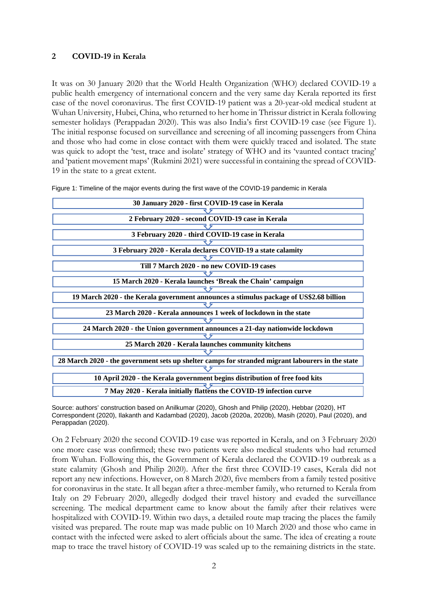# **2 COVID-19 in Kerala**

It was on 30 January 2020 that the World Health Organization (WHO) declared COVID-19 a public health emergency of international concern and the very same day Kerala reported its first case of the novel coronavirus. The first COVID-19 patient was a 20-year-old medical student at Wuhan University, Hubei, China, who returned to her home in Thrissur district in Kerala following semester holidays (Perappadan 2020). This was also India's first COVID-19 case (see Figure 1). The initial response focused on surveillance and screening of all incoming passengers from China and those who had come in close contact with them were quickly traced and isolated. The state was quick to adopt the 'test, trace and isolate' strategy of WHO and its 'vaunted contact tracing' and 'patient movement maps' (Rukmini 2021) were successful in containing the spread of COVID-19 in the state to a great extent.

| 30 January 2020 - first COVID-19 case in Kerala                                                  |  |  |
|--------------------------------------------------------------------------------------------------|--|--|
|                                                                                                  |  |  |
| 2 February 2020 - second COVID-19 case in Kerala                                                 |  |  |
|                                                                                                  |  |  |
| 3 February 2020 - third COVID-19 case in Kerala                                                  |  |  |
|                                                                                                  |  |  |
| 3 February 2020 - Kerala declares COVID-19 a state calamity                                      |  |  |
|                                                                                                  |  |  |
| Till 7 March 2020 - no new COVID-19 cases                                                        |  |  |
|                                                                                                  |  |  |
| 15 March 2020 - Kerala launches 'Break the Chain' campaign                                       |  |  |
|                                                                                                  |  |  |
| 19 March 2020 - the Kerala government announces a stimulus package of US\$2.68 billion           |  |  |
|                                                                                                  |  |  |
| 23 March 2020 - Kerala announces 1 week of lockdown in the state                                 |  |  |
|                                                                                                  |  |  |
| 24 March 2020 - the Union government announces a 21-day nationwide lockdown                      |  |  |
|                                                                                                  |  |  |
| 25 March 2020 - Kerala launches community kitchens                                               |  |  |
|                                                                                                  |  |  |
| 28 March 2020 - the government sets up shelter camps for stranded migrant labourers in the state |  |  |
|                                                                                                  |  |  |
| 10 April 2020 - the Kerala government begins distribution of free food kits                      |  |  |
| 7 May 2020 - Kerala initially flattens the COVID-19 infection curve                              |  |  |

Figure 1: Timeline of the major events during the first wave of the COVID-19 pandemic in Kerala

Source: authors' construction based on Anilkumar (2020), Ghosh and Philip (2020), Hebbar (2020), HT Correspondent (2020), Ilakanth and Kadambad (2020), Jacob (2020a, 2020b), Masih (2020), Paul (2020), and Perappadan (2020).

On 2 February 2020 the second COVID-19 case was reported in Kerala, and on 3 February 2020 one more case was confirmed; these two patients were also medical students who had returned from Wuhan. Following this, the Government of Kerala declared the COVID-19 outbreak as a state calamity (Ghosh and Philip 2020). After the first three COVID-19 cases, Kerala did not report any new infections. However, on 8 March 2020, five members from a family tested positive for coronavirus in the state. It all began after a three-member family, who returned to Kerala from Italy on 29 February 2020, allegedly dodged their travel history and evaded the surveillance screening. The medical department came to know about the family after their relatives were hospitalized with COVID-19. Within two days, a detailed route map tracing the places the family visited was prepared. The route map was made public on 10 March 2020 and those who came in contact with the infected were asked to alert officials about the same. The idea of creating a route map to trace the travel history of COVID-19 was scaled up to the remaining districts in the state.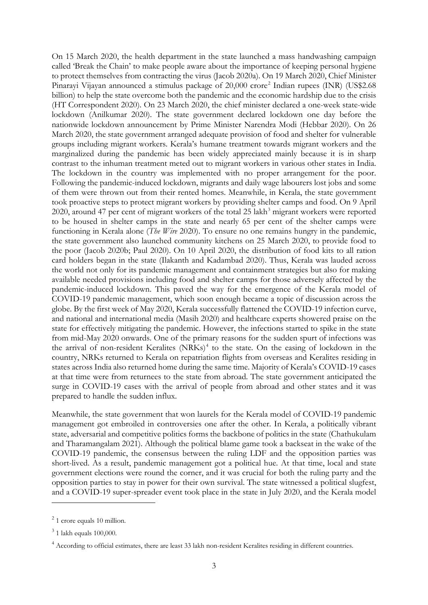On 15 March 2020, the health department in the state launched a mass handwashing campaign called 'Break the Chain' to make people aware about the importance of keeping personal hygiene to protect themselves from contracting the virus (Jacob 2020a). On 19 March 2020, Chief Minister Pinarayi Vijayan announced a stimulus package of [2](#page-4-0)0,000 crore<sup>2</sup> Indian rupees (INR) (US\$2.68 billion) to help the state overcome both the pandemic and the economic hardship due to the crisis (HT Correspondent 2020). On 23 March 2020, the chief minister declared a one-week state-wide lockdown (Anilkumar 2020). The state government declared lockdown one day before the nationwide lockdown announcement by Prime Minister Narendra Modi (Hebbar 2020). On 26 March 2020, the state government arranged adequate provision of food and shelter for vulnerable groups including migrant workers. Kerala's humane treatment towards migrant workers and the marginalized during the pandemic has been widely appreciated mainly because it is in sharp contrast to the inhuman treatment meted out to migrant workers in various other states in India. The lockdown in the country was implemented with no proper arrangement for the poor. Following the pandemic-induced lockdown, migrants and daily wage labourers lost jobs and some of them were thrown out from their rented homes. Meanwhile, in Kerala, the state government took proactive steps to protect migrant workers by providing shelter camps and food. On 9 April 2020, around 47 per cent of migrant workers of the total  $25$  lakh<sup>[3](#page-4-1)</sup> migrant workers were reported to be housed in shelter camps in the state and nearly 65 per cent of the shelter camps were functioning in Kerala alone (*The Wire* 2020). To ensure no one remains hungry in the pandemic, the state government also launched community kitchens on 25 March 2020, to provide food to the poor (Jacob 2020b; Paul 2020). On 10 April 2020, the distribution of food kits to all ration card holders began in the state (Ilakanth and Kadambad 2020). Thus, Kerala was lauded across the world not only for its pandemic management and containment strategies but also for making available needed provisions including food and shelter camps for those adversely affected by the pandemic-induced lockdown. This paved the way for the emergence of the Kerala model of COVID-19 pandemic management, which soon enough became a topic of discussion across the globe. By the first week of May 2020, Kerala successfully flattened the COVID-19 infection curve, and national and international media (Masih 2020) and healthcare experts showered praise on the state for effectively mitigating the pandemic. However, the infections started to spike in the state from mid-May 2020 onwards. One of the primary reasons for the sudden spurt of infections was the arrival of non-resident Keralites (NRKs)<sup>[4](#page-4-2)</sup> to the state. On the easing of lockdown in the country, NRKs returned to Kerala on repatriation flights from overseas and Keralites residing in states across India also returned home during the same time. Majority of Kerala's COVID-19 cases at that time were from returnees to the state from abroad. The state government anticipated the surge in COVID-19 cases with the arrival of people from abroad and other states and it was prepared to handle the sudden influx.

Meanwhile, the state government that won laurels for the Kerala model of COVID-19 pandemic management got embroiled in controversies one after the other. In Kerala, a politically vibrant state, adversarial and competitive politics forms the backbone of politics in the state (Chathukulam and Tharamangalam 2021). Although the political blame game took a backseat in the wake of the COVID-19 pandemic, the consensus between the ruling LDF and the opposition parties was short-lived. As a result, pandemic management got a political hue. At that time, local and state government elections were round the corner, and it was crucial for both the ruling party and the opposition parties to stay in power for their own survival. The state witnessed a political slugfest, and a COVID-19 super-spreader event took place in the state in July 2020, and the Kerala model

<span id="page-4-0"></span><sup>2</sup> 1 crore equals 10 million.

<span id="page-4-1"></span><sup>3</sup> 1 lakh equals 100,000.

<span id="page-4-2"></span><sup>&</sup>lt;sup>4</sup> According to official estimates, there are least 33 lakh non-resident Keralites residing in different countries.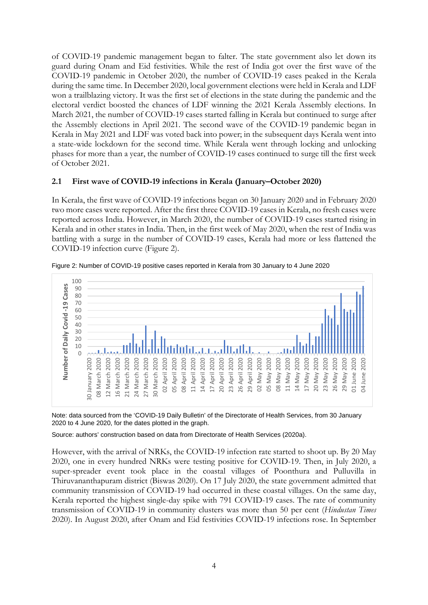of COVID-19 pandemic management began to falter. The state government also let down its guard during Onam and Eid festivities. While the rest of India got over the first wave of the COVID-19 pandemic in October 2020, the number of COVID-19 cases peaked in the Kerala during the same time. In December 2020, local government elections were held in Kerala and LDF won a trailblazing victory. It was the first set of elections in the state during the pandemic and the electoral verdict boosted the chances of LDF winning the 2021 Kerala Assembly elections. In March 2021, the number of COVID-19 cases started falling in Kerala but continued to surge after the Assembly elections in April 2021. The second wave of the COVID-19 pandemic began in Kerala in May 2021 and LDF was voted back into power; in the subsequent days Kerala went into a state-wide lockdown for the second time. While Kerala went through locking and unlocking phases for more than a year, the number of COVID-19 cases continued to surge till the first week of October 2021.

# **2.1 First wave of COVID-19 infections in Kerala (January–October 2020)**

In Kerala, the first wave of COVID-19 infections began on 30 January 2020 and in February 2020 two more cases were reported. After the first three COVID-19 cases in Kerala, no fresh cases were reported across India. However, in March 2020, the number of COVID-19 cases started rising in Kerala and in other states in India. Then, in the first week of May 2020, when the rest of India was battling with a surge in the number of COVID-19 cases, Kerala had more or less flattened the COVID-19 infection curve (Figure 2).



Figure 2: Number of COVID-19 positive cases reported in Kerala from 30 January to 4 June 2020

Note: data sourced from the 'COVID-19 Daily Bulletin' of the Directorate of Health Services, from 30 January 2020 to 4 June 2020, for the dates plotted in the graph.

Source: authors' construction based on data from Directorate of Health Services (2020a).

However, with the arrival of NRKs, the COVID-19 infection rate started to shoot up. By 20 May 2020, one in every hundred NRKs were testing positive for COVID-19. Then, in July 2020, a super-spreader event took place in the coastal villages of Poonthura and Pulluvilla in Thiruvananthapuram district (Biswas 2020). On 17 July 2020, the state government admitted that community transmission of COVID-19 had occurred in these coastal villages. On the same day, Kerala reported the highest single-day spike with 791 COVID-19 cases. The rate of community transmission of COVID-19 in community clusters was more than 50 per cent (*Hindustan Times* 2020). In August 2020, after Onam and Eid festivities COVID-19 infections rose. In September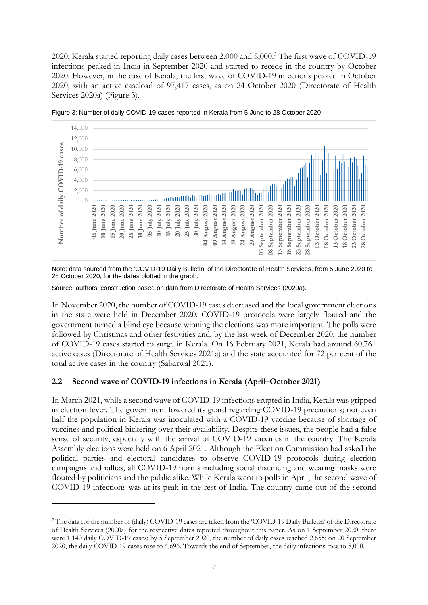2020, Kerala started reporting daily cases between 2,000 and 8,000.<sup>[5](#page-6-0)</sup> The first wave of COVID-19 infections peaked in India in September 2020 and started to recede in the country by October 2020. However, in the case of Kerala, the first wave of COVID-19 infections peaked in October 2020, with an active caseload of 97,417 cases, as on 24 October 2020 (Directorate of Health Services 2020a) (Figure 3).



Figure 3: Number of daily COVID-19 cases reported in Kerala from 5 June to 28 October 2020

Note: data sourced from the 'COVID-19 Daily Bulletin' of the Directorate of Health Services, from 5 June 2020 to 28 October 2020, for the dates plotted in the graph.

Source: authors' construction based on data from Directorate of Health Services (2020a).

In November 2020, the number of COVID-19 cases decreased and the local government elections in the state were held in December 2020. COVID-19 protocols were largely flouted and the government turned a blind eye because winning the elections was more important. The polls were followed by Christmas and other festivities and, by the last week of December 2020, the number of COVID-19 cases started to surge in Kerala. On 16 February 2021, Kerala had around 60,761 active cases (Directorate of Health Services 2021a) and the state accounted for 72 per cent of the total active cases in the country (Sabarwal 2021).

# **2.2 Second wave of COVID-19 infections in Kerala (April–October 2021)**

In March 2021, while a second wave of COVID-19 infections erupted in India, Kerala was gripped in election fever. The government lowered its guard regarding COVID-19 precautions; not even half the population in Kerala was inoculated with a COVID-19 vaccine because of shortage of vaccines and political bickering over their availability. Despite these issues, the people had a false sense of security, especially with the arrival of COVID-19 vaccines in the country. The Kerala Assembly elections were held on 6 April 2021. Although the Election Commission had asked the political parties and electoral candidates to observe COVID-19 protocols during election campaigns and rallies, all COVID-19 norms including social distancing and wearing masks were flouted by politicians and the public alike. While Kerala went to polls in April, the second wave of COVID-19 infections was at its peak in the rest of India. The country came out of the second

<span id="page-6-0"></span><sup>&</sup>lt;sup>5</sup> The data for the number of (daily) COVID-19 cases are taken from the 'COVID-19 Daily Bulletin' of the Directorate of Health Services (2020a) for the respective dates reported throughout this paper. As on 1 September 2020, there were 1,140 daily COVID-19 cases; by 5 September 2020, the number of daily cases reached 2,655; on 20 September 2020, the daily COVID-19 cases rose to 4,696. Towards the end of September, the daily infections rose to 8,000.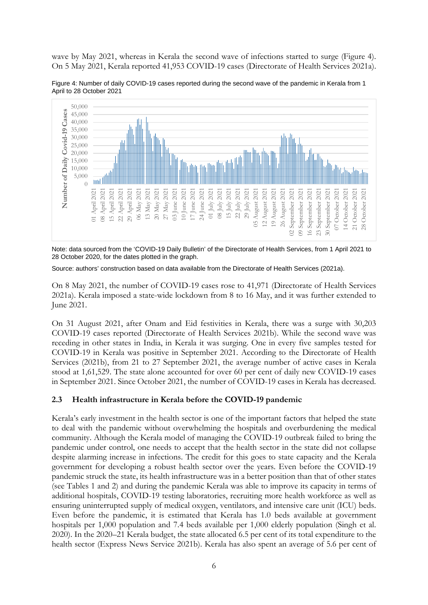wave by May 2021, whereas in Kerala the second wave of infections started to surge (Figure 4). On 5 May 2021, Kerala reported 41,953 COVID-19 cases (Directorate of Health Services 2021a).

Figure 4: Number of daily COVID-19 cases reported during the second wave of the pandemic in Kerala from 1 April to 28 October 2021



Note: data sourced from the 'COVID-19 Daily Bulletin' of the Directorate of Health Services, from 1 April 2021 to 28 October 2020, for the dates plotted in the graph.

Source: authors' construction based on data available from the Directorate of Health Services (2021a).

On 8 May 2021, the number of COVID-19 cases rose to 41,971 (Directorate of Health Services 2021a). Kerala imposed a state-wide lockdown from 8 to 16 May, and it was further extended to June 2021.

On 31 August 2021, after Onam and Eid festivities in Kerala, there was a surge with 30,203 COVID-19 cases reported (Directorate of Health Services 2021b). While the second wave was receding in other states in India, in Kerala it was surging. One in every five samples tested for COVID-19 in Kerala was positive in September 2021. According to the Directorate of Health Services (2021b), from 21 to 27 September 2021, the average number of active cases in Kerala stood at 1,61,529. The state alone accounted for over 60 per cent of daily new COVID-19 cases in September 2021. Since October 2021, the number of COVID-19 cases in Kerala has decreased.

# **2.3 Health infrastructure in Kerala before the COVID-19 pandemic**

Kerala's early investment in the health sector is one of the important factors that helped the state to deal with the pandemic without overwhelming the hospitals and overburdening the medical community. Although the Kerala model of managing the COVID-19 outbreak failed to bring the pandemic under control, one needs to accept that the health sector in the state did not collapse despite alarming increase in infections. The credit for this goes to state capacity and the Kerala government for developing a robust health sector over the years. Even before the COVID-19 pandemic struck the state, its health infrastructure was in a better position than that of other states (see Tables 1 and 2) and during the pandemic Kerala was able to improve its capacity in terms of additional hospitals, COVID-19 testing laboratories, recruiting more health workforce as well as ensuring uninterrupted supply of medical oxygen, ventilators, and intensive care unit (ICU) beds. Even before the pandemic, it is estimated that Kerala has 1.0 beds available at government hospitals per 1,000 population and 7.4 beds available per 1,000 elderly population (Singh et al. 2020). In the 2020–21 Kerala budget, the state allocated 6.5 per cent of its total expenditure to the health sector (Express News Service 2021b). Kerala has also spent an average of 5.6 per cent of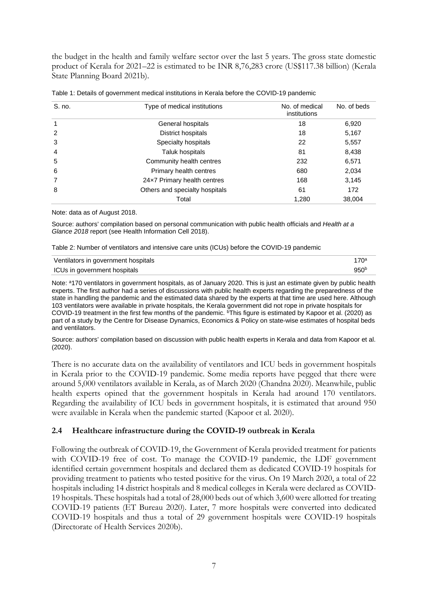the budget in the health and family welfare sector over the last 5 years. The gross state domestic product of Kerala for 2021–22 is estimated to be INR 8,76,283 crore (US\$117.38 billion) (Kerala State Planning Board 2021b).

| S. no.         | Type of medical institutions   | No. of medical<br>institutions | No. of beds |
|----------------|--------------------------------|--------------------------------|-------------|
|                | General hospitals              | 18                             | 6,920       |
| 2              | District hospitals             | 18                             | 5,167       |
| 3              | Specialty hospitals            | 22                             | 5,557       |
| $\overline{4}$ | Taluk hospitals                | 81                             | 8,438       |
| 5              | Community health centres       | 232                            | 6,571       |
| 6              | Primary health centres         | 680                            | 2,034       |
|                | 24x7 Primary health centres    | 168                            | 3,145       |
| 8              | Others and specialty hospitals | 61                             | 172         |
|                | Total                          | 1,280                          | 38,004      |

|  | Table 1: Details of government medical institutions in Kerala before the COVID-19 pandemic |  |  |  |
|--|--------------------------------------------------------------------------------------------|--|--|--|
|--|--------------------------------------------------------------------------------------------|--|--|--|

Note: data as of August 2018.

Source: authors' compilation based on personal communication with public health officials and *Health at a Glance 2018* report (see Health Information Cell 2018).

| Table 2: Number of ventilators and intensive care units (ICUs) before the COVID-19 pandemic |  |
|---------------------------------------------------------------------------------------------|--|
|                                                                                             |  |

| Ventilators in government hospitals | 170ª             |
|-------------------------------------|------------------|
| ICUs in government hospitals        | 950 <sup>b</sup> |

Note: <sup>a</sup>170 ventilators in government hospitals, as of January 2020. This is just an estimate given by public health experts. The first author had a series of discussions with public health experts regarding the preparedness of the state in handling the pandemic and the estimated data shared by the experts at that time are used here. Although 103 ventilators were available in private hospitals, the Kerala government did not rope in private hospitals for COVID-19 treatment in the first few months of the pandemic. <sup>b</sup>This figure is estimated by Kapoor et al. (2020) as part of a study by the Centre for Disease Dynamics, Economics & Policy on state-wise estimates of hospital beds and ventilators.

Source: authors' compilation based on discussion with public health experts in Kerala and data from Kapoor et al. (2020).

There is no accurate data on the availability of ventilators and ICU beds in government hospitals in Kerala prior to the COVID-19 pandemic. Some media reports have pegged that there were around 5,000 ventilators available in Kerala, as of March 2020 (Chandna 2020). Meanwhile, public health experts opined that the government hospitals in Kerala had around 170 ventilators. Regarding the availability of ICU beds in government hospitals, it is estimated that around 950 were available in Kerala when the pandemic started (Kapoor et al. 2020).

# **2.4 Healthcare infrastructure during the COVID-19 outbreak in Kerala**

Following the outbreak of COVID-19, the Government of Kerala provided treatment for patients with COVID-19 free of cost. To manage the COVID-19 pandemic, the LDF government identified certain government hospitals and declared them as dedicated COVID-19 hospitals for providing treatment to patients who tested positive for the virus. On 19 March 2020, a total of 22 hospitals including 14 district hospitals and 8 medical colleges in Kerala were declared as COVID-19 hospitals. These hospitals had a total of 28,000 beds out of which 3,600 were allotted for treating COVID-19 patients (ET Bureau 2020). Later, 7 more hospitals were converted into dedicated COVID-19 hospitals and thus a total of 29 government hospitals were COVID-19 hospitals (Directorate of Health Services 2020b).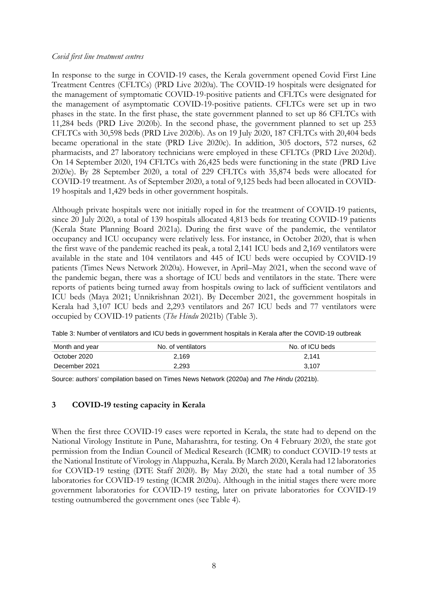# *Covid first line treatment centres*

In response to the surge in COVID-19 cases, the Kerala government opened Covid First Line Treatment Centres (CFLTCs) (PRD Live 2020a). The COVID-19 hospitals were designated for the management of symptomatic COVID-19-positive patients and CFLTCs were designated for the management of asymptomatic COVID-19-positive patients. CFLTCs were set up in two phases in the state. In the first phase, the state government planned to set up 86 CFLTCs with 11,284 beds (PRD Live 2020b). In the second phase, the government planned to set up 253 CFLTCs with 30,598 beds (PRD Live 2020b). As on 19 July 2020, 187 CFLTCs with 20,404 beds became operational in the state (PRD Live 2020c). In addition, 305 doctors, 572 nurses, 62 pharmacists, and 27 laboratory technicians were employed in these CFLTCs (PRD Live 2020d). On 14 September 2020, 194 CFLTCs with 26,425 beds were functioning in the state (PRD Live 2020e). By 28 September 2020, a total of 229 CFLTCs with 35,874 beds were allocated for COVID-19 treatment. As of September 2020, a total of 9,125 beds had been allocated in COVID-19 hospitals and 1,429 beds in other government hospitals.

Although private hospitals were not initially roped in for the treatment of COVID-19 patients, since 20 July 2020, a total of 139 hospitals allocated 4,813 beds for treating COVID-19 patients (Kerala State Planning Board 2021a). During the first wave of the pandemic, the ventilator occupancy and ICU occupancy were relatively less. For instance, in October 2020, that is when the first wave of the pandemic reached its peak, a total 2,141 ICU beds and 2,169 ventilators were available in the state and 104 ventilators and 445 of ICU beds were occupied by COVID-19 patients (Times News Network 2020a). However, in April–May 2021, when the second wave of the pandemic began, there was a shortage of ICU beds and ventilators in the state. There were reports of patients being turned away from hospitals owing to lack of sufficient ventilators and ICU beds (Maya 2021; Unnikrishnan 2021). By December 2021, the government hospitals in Kerala had 3,107 ICU beds and 2,293 ventilators and 267 ICU beds and 77 ventilators were occupied by COVID-19 patients (*The Hindu* 2021b) (Table 3).

| Month and year | No. of ventilators | No. of ICU beds |
|----------------|--------------------|-----------------|
| October 2020   | 2.169              | 2.141           |
| December 2021  | 2.293              | 3.107           |

Table 3: Number of ventilators and ICU beds in government hospitals in Kerala after the COVID-19 outbreak

Source: authors' compilation based on Times News Network (2020a) and *The Hindu* (2021b).

# **3 COVID-19 testing capacity in Kerala**

When the first three COVID-19 cases were reported in Kerala, the state had to depend on the National Virology Institute in Pune, Maharashtra, for testing. On 4 February 2020, the state got permission from the Indian Council of Medical Research (ICMR) to conduct COVID-19 tests at the National Institute of Virology in Alappuzha, Kerala. By March 2020, Kerala had 12 laboratories for COVID-19 testing (DTE Staff 2020). By May 2020, the state had a total number of 35 laboratories for COVID-19 testing (ICMR 2020a). Although in the initial stages there were more government laboratories for COVID-19 testing, later on private laboratories for COVID-19 testing outnumbered the government ones (see Table 4).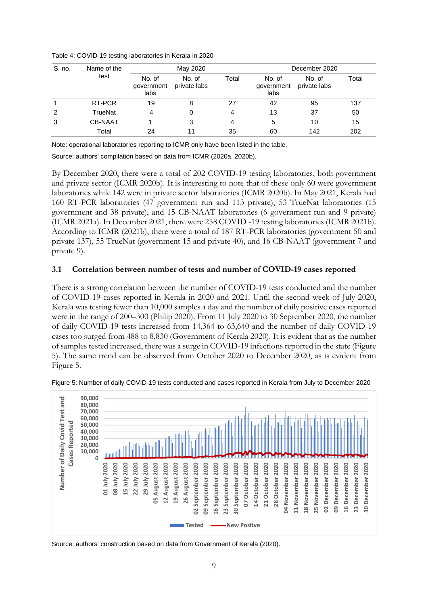| S. no. | Name of the    | May 2020                     |                        |       | December 2020                |                        |       |
|--------|----------------|------------------------------|------------------------|-------|------------------------------|------------------------|-------|
|        | test           | No. of<br>government<br>labs | No. of<br>private labs | Total | No. of<br>government<br>labs | No. of<br>private labs | Total |
|        | RT-PCR         | 19                           | 8                      | 27    | 42                           | 95                     | 137   |
| 2      | TrueNat        | 4                            | 0                      | 4     | 13                           | 37                     | 50    |
| 3      | <b>CB-NAAT</b> |                              | 3                      | 4     | 5                            | 10                     | 15    |
|        | Total          | 24                           | 11                     | 35    | 60                           | 142                    | 202   |

Table 4: COVID-19 testing laboratories in Kerala in 2020

Note: operational laboratories reporting to ICMR only have been listed in the table.

Source: authors' compilation based on data from ICMR (2020a, 2020b).

By December 2020, there were a total of 202 COVID-19 testing laboratories, both government and private sector (ICMR 2020b). It is interesting to note that of these only 60 were government laboratories while 142 were in private sector laboratories (ICMR 2020b). In May 2021, Kerala had 160 RT-PCR laboratories (47 government run and 113 private), 53 TrueNat laboratories (15 government and 38 private), and 15 CB-NAAT laboratories (6 government run and 9 private) (ICMR 2021a). In December 2021, there were 258 COVID -19 testing laboratories (ICMR 2021b). According to ICMR (2021b), there were a total of 187 RT-PCR laboratories (government 50 and private 137), 55 TrueNat (government 15 and private 40), and 16 CB-NAAT (government 7 and private 9).

# **3.1 Correlation between number of tests and number of COVID-19 cases reported**

There is a strong correlation between the number of COVID-19 tests conducted and the number of COVID-19 cases reported in Kerala in 2020 and 2021. Until the second week of July 2020, Kerala was testing fewer than 10,000 samples a day and the number of daily positive cases reported were in the range of 200–300 (Philip 2020). From 11 July 2020 to 30 September 2020, the number of daily COVID-19 tests increased from 14,364 to 63,640 and the number of daily COVID-19 cases too surged from 488 to 8,830 (Government of Kerala 2020). It is evident that as the number of samples tested increased, there was a surge in COVID-19 infections reported in the state (Figure 5). The same trend can be observed from October 2020 to December 2020, as is evident from Figure 5.



Figure 5: Number of daily COVID-19 tests conducted and cases reported in Kerala from July to December 2020

Source: authors' construction based on data from Government of Kerala (2020).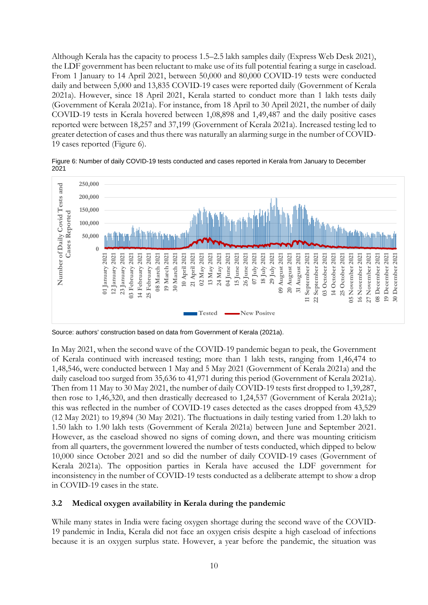Although Kerala has the capacity to process 1.5–2.5 lakh samples daily (Express Web Desk 2021), the LDF government has been reluctant to make use of its full potential fearing a surge in caseload. From 1 January to 14 April 2021, between 50,000 and 80,000 COVID-19 tests were conducted daily and between 5,000 and 13,835 COVID-19 cases were reported daily (Government of Kerala 2021a). However, since 18 April 2021, Kerala started to conduct more than 1 lakh tests daily (Government of Kerala 2021a). For instance, from 18 April to 30 April 2021, the number of daily COVID-19 tests in Kerala hovered between 1,08,898 and 1,49,487 and the daily positive cases reported were between 18,257 and 37,199 (Government of Kerala 2021a). Increased testing led to greater detection of cases and thus there was naturally an alarming surge in the number of COVID-19 cases reported (Figure 6).

Figure 6: Number of daily COVID-19 tests conducted and cases reported in Kerala from January to December 2021



Source: authors' construction based on data from Government of Kerala (2021a).

In May 2021, when the second wave of the COVID-19 pandemic began to peak, the Government of Kerala continued with increased testing; more than 1 lakh tests, ranging from 1,46,474 to 1,48,546, were conducted between 1 May and 5 May 2021 (Government of Kerala 2021a) and the daily caseload too surged from 35,636 to 41,971 during this period (Government of Kerala 2021a). Then from 11 May to 30 May 2021, the number of daily COVID-19 tests first dropped to 1,39,287, then rose to 1,46,320, and then drastically decreased to 1,24,537 (Government of Kerala 2021a); this was reflected in the number of COVID-19 cases detected as the cases dropped from 43,529 (12 May 2021) to 19,894 (30 May 2021). The fluctuations in daily testing varied from 1.20 lakh to 1.50 lakh to 1.90 lakh tests (Government of Kerala 2021a) between June and September 2021. However, as the caseload showed no signs of coming down, and there was mounting criticism from all quarters, the government lowered the number of tests conducted, which dipped to below 10,000 since October 2021 and so did the number of daily COVID-19 cases (Government of Kerala 2021a). The opposition parties in Kerala have accused the LDF government for inconsistency in the number of COVID-19 tests conducted as a deliberate attempt to show a drop in COVID-19 cases in the state.

# **3.2 Medical oxygen availability in Kerala during the pandemic**

While many states in India were facing oxygen shortage during the second wave of the COVID-19 pandemic in India, Kerala did not face an oxygen crisis despite a high caseload of infections because it is an oxygen surplus state. However, a year before the pandemic, the situation was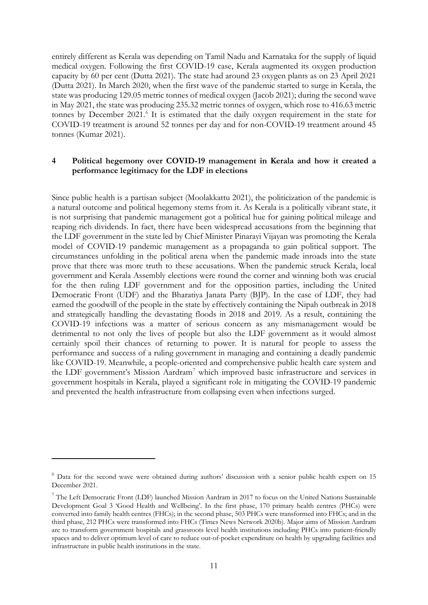entirely different as Kerala was depending on Tamil Nadu and Karnataka for the supply of liquid medical oxygen. Following the first COVID-19 case, Kerala augmented its oxygen production capacity by 60 per cent (Dutta 2021). The state had around 23 oxygen plants as on 23 April 2021 (Dutta 2021). In March 2020, when the first wave of the pandemic started to surge in Kerala, the state was producing 129.05 metric tonnes of medical oxygen (Jacob 2021); during the second wave in May 2021, the state was producing 235.32 metric tonnes of oxygen, which rose to 416.63 metric tonnes by December 2021.<sup>[6](#page-12-0)</sup> It is estimated that the daily oxygen requirement in the state for COVID-19 treatment is around 52 tonnes per day and for non-COVID-19 treatment around 45 tonnes (Kumar 2021).

# **4 Political hegemony over COVID-19 management in Kerala and how it created a performance legitimacy for the LDF in elections**

Since public health is a partisan subject (Moolakkattu 2021), the politicization of the pandemic is a natural outcome and political hegemony stems from it. As Kerala is a politically vibrant state, it is not surprising that pandemic management got a political hue for gaining political mileage and reaping rich dividends. In fact, there have been widespread accusations from the beginning that the LDF government in the state led by Chief Minister Pinarayi Vijayan was promoting the Kerala model of COVID-19 pandemic management as a propaganda to gain political support. The circumstances unfolding in the political arena when the pandemic made inroads into the state prove that there was more truth to these accusations. When the pandemic struck Kerala, local government and Kerala Assembly elections were round the corner and winning both was crucial for the then ruling LDF government and for the opposition parties, including the United Democratic Front (UDF) and the Bharatiya Janata Party (BJP). In the case of LDF, they had earned the goodwill of the people in the state by effectively containing the Nipah outbreak in 2018 and strategically handling the devastating floods in 2018 and 2019. As a result, containing the COVID-19 infections was a matter of serious concern as any mismanagement would be detrimental to not only the lives of people but also the LDF government as it would almost certainly spoil their chances of returning to power. It is natural for people to assess the performance and success of a ruling government in managing and containing a deadly pandemic like COVID-19. Meanwhile, a people-oriented and comprehensive public health care system and the LDF government's Mission Aardram[7](#page-12-1) which improved basic infrastructure and services in government hospitals in Kerala, played a significant role in mitigating the COVID-19 pandemic and prevented the health infrastructure from collapsing even when infections surged.

<span id="page-12-0"></span><sup>&</sup>lt;sup>6</sup> Data for the second wave were obtained during authors' discussion with a senior public health expert on 15 December 2021.

<span id="page-12-1"></span><sup>7</sup> The Left Democratic Front (LDF) launched Mission Aardram in 2017 to focus on the United Nations Sustainable Development Goal 3 'Good Health and Wellbeing'. In the first phase, 170 primary health centres (PHCs) were converted into family health centres (FHCs); in the second phase, 503 PHCs were transformed into FHCs; and in the third phase, 212 PHCs were transformed into FHCs (Times News Network 2020b). Major aims of Mission Aardram are to transform government hospitals and grassroots level health institutions including PHCs into patient-friendly spaces and to deliver optimum level of care to reduce out-of-pocket expenditure on health by upgrading facilities and infrastructure in public health institutions in the state.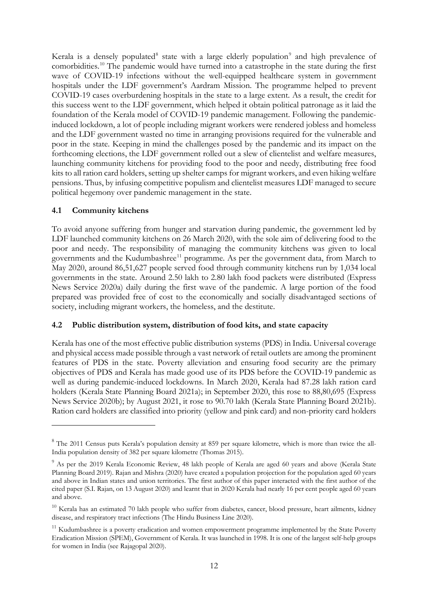Kerala is a densely populated<sup>[8](#page-13-0)</sup> state with a large elderly population<sup>[9](#page-13-1)</sup> and high prevalence of comorbidities. [10](#page-13-2) The pandemic would have turned into a catastrophe in the state during the first wave of COVID-19 infections without the well-equipped healthcare system in government hospitals under the LDF government's Aardram Mission. The programme helped to prevent COVID-19 cases overburdening hospitals in the state to a large extent. As a result, the credit for this success went to the LDF government, which helped it obtain political patronage as it laid the foundation of the Kerala model of COVID-19 pandemic management. Following the pandemicinduced lockdown, a lot of people including migrant workers were rendered jobless and homeless and the LDF government wasted no time in arranging provisions required for the vulnerable and poor in the state. Keeping in mind the challenges posed by the pandemic and its impact on the forthcoming elections, the LDF government rolled out a slew of clientelist and welfare measures, launching community kitchens for providing food to the poor and needy, distributing free food kits to all ration card holders, setting up shelter camps for migrant workers, and even hiking welfare pensions. Thus, by infusing competitive populism and clientelist measures LDF managed to secure political hegemony over pandemic management in the state.

# **4.1 Community kitchens**

To avoid anyone suffering from hunger and starvation during pandemic, the government led by LDF launched community kitchens on 26 March 2020, with the sole aim of delivering food to the poor and needy. The responsibility of managing the community kitchens was given to local governments and the Kudumbashree<sup>[11](#page-13-3)</sup> programme. As per the government data, from March to May 2020, around 86,51,627 people served food through community kitchens run by 1,034 local governments in the state. Around 2.50 lakh to 2.80 lakh food packets were distributed (Express News Service 2020a) daily during the first wave of the pandemic. A large portion of the food prepared was provided free of cost to the economically and socially disadvantaged sections of society, including migrant workers, the homeless, and the destitute.

# **4.2 Public distribution system, distribution of food kits, and state capacity**

Kerala has one of the most effective public distribution systems (PDS) in India. Universal coverage and physical access made possible through a vast network of retail outlets are among the prominent features of PDS in the state. Poverty alleviation and ensuring food security are the primary objectives of PDS and Kerala has made good use of its PDS before the COVID-19 pandemic as well as during pandemic-induced lockdowns. In March 2020, Kerala had 87.28 lakh ration card holders (Kerala State Planning Board 2021a); in September 2020, this rose to 88,80,695 (Express News Service 2020b); by August 2021, it rose to 90.70 lakh (Kerala State Planning Board 2021b). Ration card holders are classified into priority (yellow and pink card) and non-priority card holders

<span id="page-13-0"></span><sup>&</sup>lt;sup>8</sup> The 2011 Census puts Kerala's population density at 859 per square kilometre, which is more than twice the all-India population density of 382 per square kilometre (Thomas 2015).

<span id="page-13-1"></span><sup>&</sup>lt;sup>9</sup> As per the 2019 Kerala Economic Review, 48 lakh people of Kerala are aged 60 years and above (Kerala State Planning Board 2019). Rajan and Mishra (2020) have created a population projection for the population aged 60 years and above in Indian states and union territories. The first author of this paper interacted with the first author of the cited paper (S.I. Rajan, on 13 August 2020) and learnt that in 2020 Kerala had nearly 16 per cent people aged 60 years and above.

<span id="page-13-2"></span> $10$  Kerala has an estimated 70 lakh people who suffer from diabetes, cancer, blood pressure, heart ailments, kidney disease, and respiratory tract infections (The Hindu Business Line 2020).

<span id="page-13-3"></span><sup>&</sup>lt;sup>11</sup> Kudumbashree is a poverty eradication and women empowerment programme implemented by the State Poverty Eradication Mission (SPEM), Government of Kerala. It was launched in 1998. It is one of the largest self-help groups for women in India (see Rajagopal 2020).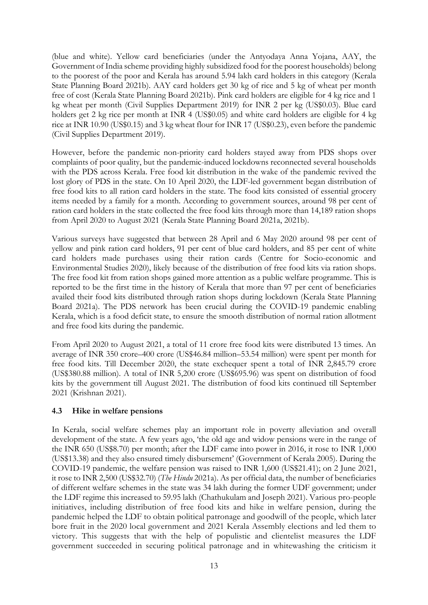(blue and white). Yellow card beneficiaries (under the Antyodaya Anna Yojana, AAY, the Government of India scheme providing highly subsidized food for the poorest households) belong to the poorest of the poor and Kerala has around 5.94 lakh card holders in this category (Kerala State Planning Board 2021b). AAY card holders get 30 kg of rice and 5 kg of wheat per month free of cost (Kerala State Planning Board 2021b). Pink card holders are eligible for 4 kg rice and 1 kg wheat per month (Civil Supplies Department 2019) for INR 2 per kg (US\$0.03). Blue card holders get 2 kg rice per month at INR 4 (US\$0.05) and white card holders are eligible for 4 kg rice at INR 10.90 (US\$0.15) and 3 kg wheat flour for INR 17 (US\$0.23), even before the pandemic (Civil Supplies Department 2019).

However, before the pandemic non-priority card holders stayed away from PDS shops over complaints of poor quality, but the pandemic-induced lockdowns reconnected several households with the PDS across Kerala. Free food kit distribution in the wake of the pandemic revived the lost glory of PDS in the state. On 10 April 2020, the LDF-led government began distribution of free food kits to all ration card holders in the state. The food kits consisted of essential grocery items needed by a family for a month. According to government sources, around 98 per cent of ration card holders in the state collected the free food kits through more than 14,189 ration shops from April 2020 to August 2021 (Kerala State Planning Board 2021a, 2021b).

Various surveys have suggested that between 28 April and 6 May 2020 around 98 per cent of yellow and pink ration card holders, 91 per cent of blue card holders, and 85 per cent of white card holders made purchases using their ration cards (Centre for Socio-economic and Environmental Studies 2020), likely because of the distribution of free food kits via ration shops. The free food kit from ration shops gained more attention as a public welfare programme. This is reported to be the first time in the history of Kerala that more than 97 per cent of beneficiaries availed their food kits distributed through ration shops during lockdown (Kerala State Planning Board 2021a). The PDS network has been crucial during the COVID-19 pandemic enabling Kerala, which is a food deficit state, to ensure the smooth distribution of normal ration allotment and free food kits during the pandemic.

From April 2020 to August 2021, a total of 11 crore free food kits were distributed 13 times. An average of INR 350 crore–400 crore (US\$46.84 million–53.54 million) were spent per month for free food kits. Till December 2020, the state exchequer spent a total of INR 2,845.79 crore (US\$380.88 million). A total of INR 5,200 crore (US\$695.96) was spent on distribution of food kits by the government till August 2021. The distribution of food kits continued till September 2021 (Krishnan 2021).

# **4.3 Hike in welfare pensions**

In Kerala, social welfare schemes play an important role in poverty alleviation and overall development of the state. A few years ago, 'the old age and widow pensions were in the range of the INR 650 (US\$8.70) per month; after the LDF came into power in 2016, it rose to INR 1,000 (US\$13.38) and they also ensured timely disbursement' (Government of Kerala 2005). During the COVID-19 pandemic, the welfare pension was raised to INR 1,600 (US\$21.41); on 2 June 2021, it rose to INR 2,500 (US\$32.70) (*The Hindu* 2021a). As per official data, the number of beneficiaries of different welfare schemes in the state was 34 lakh during the former UDF government; under the LDF regime this increased to 59.95 lakh (Chathukulam and Joseph 2021). Various pro-people initiatives, including distribution of free food kits and hike in welfare pension, during the pandemic helped the LDF to obtain political patronage and goodwill of the people, which later bore fruit in the 2020 local government and 2021 Kerala Assembly elections and led them to victory. This suggests that with the help of populistic and clientelist measures the LDF government succeeded in securing political patronage and in whitewashing the criticism it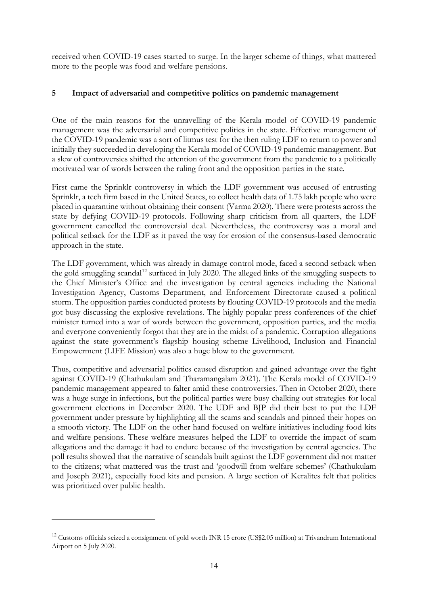received when COVID-19 cases started to surge. In the larger scheme of things, what mattered more to the people was food and welfare pensions.

# **5 Impact of adversarial and competitive politics on pandemic management**

One of the main reasons for the unravelling of the Kerala model of COVID-19 pandemic management was the adversarial and competitive politics in the state. Effective management of the COVID-19 pandemic was a sort of litmus test for the then ruling LDF to return to power and initially they succeeded in developing the Kerala model of COVID-19 pandemic management. But a slew of controversies shifted the attention of the government from the pandemic to a politically motivated war of words between the ruling front and the opposition parties in the state.

First came the Sprinklr controversy in which the LDF government was accused of entrusting Sprinklr, a tech firm based in the United States, to collect health data of 1.75 lakh people who were placed in quarantine without obtaining their consent (Varma 2020). There were protests across the state by defying COVID-19 protocols. Following sharp criticism from all quarters, the LDF government cancelled the controversial deal. Nevertheless, the controversy was a moral and political setback for the LDF as it paved the way for erosion of the consensus-based democratic approach in the state.

The LDF government, which was already in damage control mode, faced a second setback when the gold smuggling scandal<sup>[12](#page-15-0)</sup> surfaced in July 2020. The alleged links of the smuggling suspects to the Chief Minister's Office and the investigation by central agencies including the National Investigation Agency, Customs Department, and Enforcement Directorate caused a political storm. The opposition parties conducted protests by flouting COVID-19 protocols and the media got busy discussing the explosive revelations. The highly popular press conferences of the chief minister turned into a war of words between the government, opposition parties, and the media and everyone conveniently forgot that they are in the midst of a pandemic. Corruption allegations against the state government's flagship housing scheme Livelihood, Inclusion and Financial Empowerment (LIFE Mission) was also a huge blow to the government.

Thus, competitive and adversarial politics caused disruption and gained advantage over the fight against COVID-19 (Chathukulam and Tharamangalam 2021). The Kerala model of COVID-19 pandemic management appeared to falter amid these controversies. Then in October 2020, there was a huge surge in infections, but the political parties were busy chalking out strategies for local government elections in December 2020. The UDF and BJP did their best to put the LDF government under pressure by highlighting all the scams and scandals and pinned their hopes on a smooth victory. The LDF on the other hand focused on welfare initiatives including food kits and welfare pensions. These welfare measures helped the LDF to override the impact of scam allegations and the damage it had to endure because of the investigation by central agencies. The poll results showed that the narrative of scandals built against the LDF government did not matter to the citizens; what mattered was the trust and 'goodwill from welfare schemes' (Chathukulam and Joseph 2021), especially food kits and pension. A large section of Keralites felt that politics was prioritized over public health.

<span id="page-15-0"></span><sup>&</sup>lt;sup>12</sup> Customs officials seized a consignment of gold worth INR 15 crore (US\$2.05 million) at Trivandrum International Airport on 5 July 2020.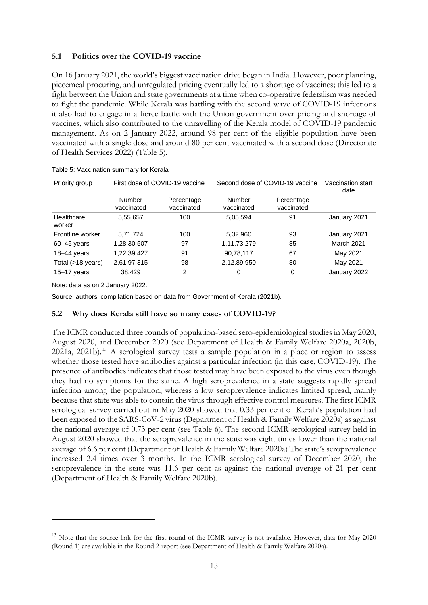# **5.1 Politics over the COVID-19 vaccine**

On 16 January 2021, the world's biggest vaccination drive began in India. However, poor planning, piecemeal procuring, and unregulated pricing eventually led to a shortage of vaccines; this led to a fight between the Union and state governments at a time when co-operative federalism was needed to fight the pandemic. While Kerala was battling with the second wave of COVID-19 infections it also had to engage in a fierce battle with the Union government over pricing and shortage of vaccines, which also contributed to the unravelling of the Kerala model of COVID-19 pandemic management. As on 2 January 2022, around 98 per cent of the eligible population have been vaccinated with a single dose and around 80 per cent vaccinated with a second dose (Directorate of Health Services 2022) (Table 5).

| Priority group       | First dose of COVID-19 vaccine |                          | Second dose of COVID-19 vaccine | Vaccination start<br>date |              |
|----------------------|--------------------------------|--------------------------|---------------------------------|---------------------------|--------------|
|                      | Number<br>vaccinated           | Percentage<br>vaccinated | Number<br>vaccinated            | Percentage<br>vaccinated  |              |
| Healthcare<br>worker | 5,55,657                       | 100                      | 5,05,594                        | 91                        | January 2021 |
| Frontline worker     | 5,71,724                       | 100                      | 5,32,960                        | 93                        | January 2021 |
| $60 - 45$ years      | 1,28,30,507                    | 97                       | 1,11,73,279                     | 85                        | March 2021   |
| $18-44$ years        | 1,22,39,427                    | 91                       | 90,78,117                       | 67                        | May 2021     |
| Total (>18 years)    | 2,61,97,315                    | 98                       | 2,12,89,950                     | 80                        | May 2021     |
| $15 - 17$ years      | 38.429                         | 2                        | 0                               | 0                         | January 2022 |

Table 5: Vaccination summary for Kerala

Note: data as on 2 January 2022.

Source: authors' compilation based on data from Government of Kerala (2021b).

# **5.2 Why does Kerala still have so many cases of COVID-19?**

The ICMR conducted three rounds of population-based sero-epidemiological studies in May 2020, August 2020, and December 2020 (see Department of Health & Family Welfare 2020a, 2020b, 2021a, 2021b).[13](#page-16-0) A serological survey tests a sample population in a place or region to assess whether those tested have antibodies against a particular infection (in this case, COVID-19). The presence of antibodies indicates that those tested may have been exposed to the virus even though they had no symptoms for the same. A high seroprevalence in a state suggests rapidly spread infection among the population, whereas a low seroprevalence indicates limited spread, mainly because that state was able to contain the virus through effective control measures. The first ICMR serological survey carried out in May 2020 showed that 0.33 per cent of Kerala's population had been exposed to the SARS-CoV-2 virus (Department of Health & Family Welfare 2020a) as against the national average of 0.73 per cent (see Table 6). The second ICMR serological survey held in August 2020 showed that the seroprevalence in the state was eight times lower than the national average of 6.6 per cent (Department of Health & Family Welfare 2020a) The state's seroprevalence increased 2.4 times over 3 months. In the ICMR serological survey of December 2020, the seroprevalence in the state was 11.6 per cent as against the national average of 21 per cent (Department of Health & Family Welfare 2020b).

<span id="page-16-0"></span><sup>&</sup>lt;sup>13</sup> Note that the source link for the first round of the ICMR survey is not available. However, data for May 2020 (Round 1) are available in the Round 2 report (see Department of Health & Family Welfare 2020a).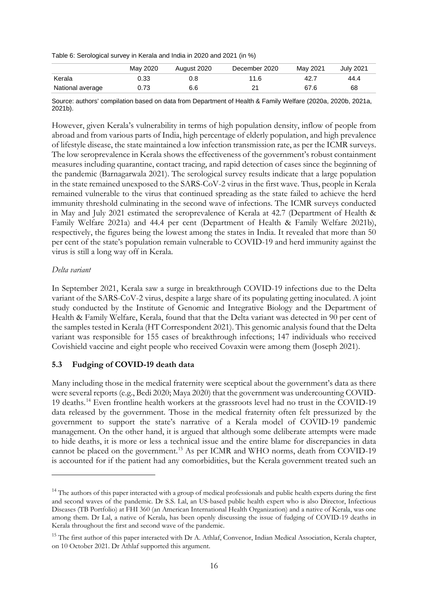Table 6: Serological survey in Kerala and India in 2020 and 2021 (in %)

|                  | May 2020 | August 2020 | December 2020 | May 2021 | <b>July 2021</b> |
|------------------|----------|-------------|---------------|----------|------------------|
| Kerala           | 0.33     |             | 11.6          |          | 44.4             |
| National average |          | 6.6         | ິ             | 67.6     | 68               |

Source: authors' compilation based on data from Department of Health & Family Welfare (2020a, 2020b, 2021a, 2021b).

However, given Kerala's vulnerability in terms of high population density, inflow of people from abroad and from various parts of India, high percentage of elderly population, and high prevalence of lifestyle disease, the state maintained a low infection transmission rate, as per the ICMR surveys. The low seroprevalence in Kerala shows the effectiveness of the government's robust containment measures including quarantine, contact tracing, and rapid detection of cases since the beginning of the pandemic (Barnagarwala 2021). The serological survey results indicate that a large population in the state remained unexposed to the SARS-CoV-2 virus in the first wave. Thus, people in Kerala remained vulnerable to the virus that continued spreading as the state failed to achieve the herd immunity threshold culminating in the second wave of infections. The ICMR surveys conducted in May and July 2021 estimated the seroprevalence of Kerala at 42.7 (Department of Health & Family Welfare 2021a) and 44.4 per cent (Department of Health & Family Welfare 2021b), respectively, the figures being the lowest among the states in India. It revealed that more than 50 per cent of the state's population remain vulnerable to COVID-19 and herd immunity against the virus is still a long way off in Kerala.

# *Delta variant*

In September 2021, Kerala saw a surge in breakthrough COVID-19 infections due to the Delta variant of the SARS-CoV-2 virus, despite a large share of its populating getting inoculated. A joint study conducted by the Institute of Genomic and Integrative Biology and the Department of Health & Family Welfare, Kerala, found that that the Delta variant was detected in 90 per cent of the samples tested in Kerala (HT Correspondent 2021). This genomic analysis found that the Delta variant was responsible for 155 cases of breakthrough infections; 147 individuals who received Covishield vaccine and eight people who received Covaxin were among them (Joseph 2021).

# **5.3 Fudging of COVID-19 death data**

Many including those in the medical fraternity were sceptical about the government's data as there were several reports (e.g., Bedi 2020; Maya 2020) that the government was undercounting COVID-19 deaths.[14](#page-17-0) Even frontline health workers at the grassroots level had no trust in the COVID-19 data released by the government. Those in the medical fraternity often felt pressurized by the government to support the state's narrative of a Kerala model of COVID-19 pandemic management. On the other hand, it is argued that although some deliberate attempts were made to hide deaths, it is more or less a technical issue and the entire blame for discrepancies in data cannot be placed on the government. [15](#page-17-1) As per ICMR and WHO norms, death from COVID-19 is accounted for if the patient had any comorbidities, but the Kerala government treated such an

<span id="page-17-0"></span><sup>&</sup>lt;sup>14</sup> The authors of this paper interacted with a group of medical professionals and public health experts during the first and second waves of the pandemic. Dr S.S. Lal, an US-based public health expert who is also Director, Infectious Diseases (TB Portfolio) at FHI 360 (an American International Health Organization) and a native of Kerala, was one among them. Dr Lal, a native of Kerala, has been openly discussing the issue of fudging of COVID-19 deaths in Kerala throughout the first and second wave of the pandemic.

<span id="page-17-1"></span><sup>&</sup>lt;sup>15</sup> The first author of this paper interacted with Dr A. Athlaf, Convenor, Indian Medical Association, Kerala chapter, on 10 October 2021. Dr Athlaf supported this argument.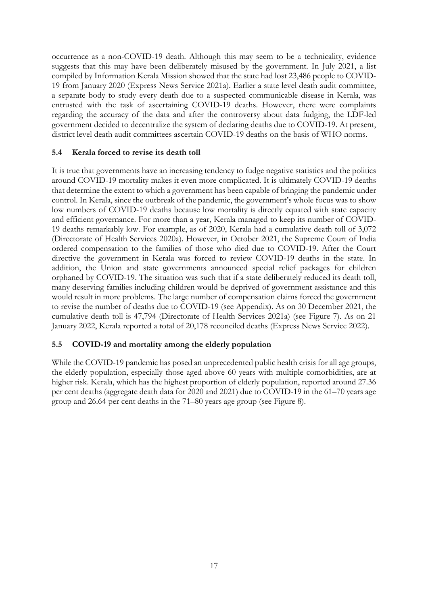occurrence as a non-COVID-19 death. Although this may seem to be a technicality, evidence suggests that this may have been deliberately misused by the government. In July 2021, a list compiled by Information Kerala Mission showed that the state had lost 23,486 people to COVID-19 from January 2020 (Express News Service 2021a). Earlier a state level death audit committee, a separate body to study every death due to a suspected communicable disease in Kerala, was entrusted with the task of ascertaining COVID-19 deaths. However, there were complaints regarding the accuracy of the data and after the controversy about data fudging, the LDF-led government decided to decentralize the system of declaring deaths due to COVID-19. At present, district level death audit committees ascertain COVID-19 deaths on the basis of WHO norms.

# **5.4 Kerala forced to revise its death toll**

It is true that governments have an increasing tendency to fudge negative statistics and the politics around COVID-19 mortality makes it even more complicated. It is ultimately COVID-19 deaths that determine the extent to which a government has been capable of bringing the pandemic under control. In Kerala, since the outbreak of the pandemic, the government's whole focus was to show low numbers of COVID-19 deaths because low mortality is directly equated with state capacity and efficient governance. For more than a year, Kerala managed to keep its number of COVID-19 deaths remarkably low. For example, as of 2020, Kerala had a cumulative death toll of 3,072 (Directorate of Health Services 2020a). However, in October 2021, the Supreme Court of India ordered compensation to the families of those who died due to COVID-19. After the Court directive the government in Kerala was forced to review COVID-19 deaths in the state. In addition, the Union and state governments announced special relief packages for children orphaned by COVID-19. The situation was such that if a state deliberately reduced its death toll, many deserving families including children would be deprived of government assistance and this would result in more problems. The large number of compensation claims forced the government to revise the number of deaths due to COVID-19 (see Appendix). As on 30 December 2021, the cumulative death toll is 47,794 (Directorate of Health Services 2021a) (see Figure 7). As on 21 January 2022, Kerala reported a total of 20,178 reconciled deaths (Express News Service 2022).

# **5.5 COVID-19 and mortality among the elderly population**

While the COVID-19 pandemic has posed an unprecedented public health crisis for all age groups, the elderly population, especially those aged above 60 years with multiple comorbidities, are at higher risk. Kerala, which has the highest proportion of elderly population, reported around 27.36 per cent deaths (aggregate death data for 2020 and 2021) due to COVID-19 in the 61–70 years age group and 26.64 per cent deaths in the 71–80 years age group (see Figure 8).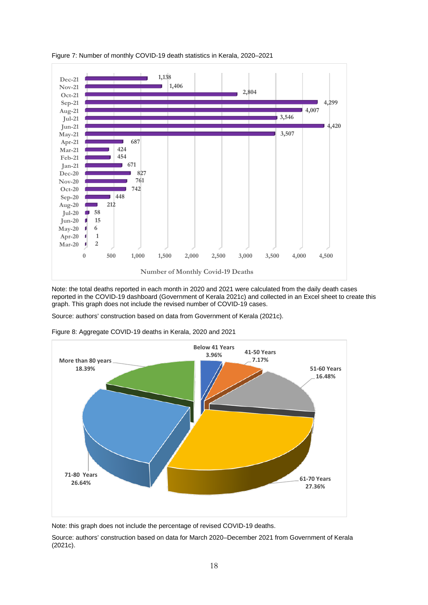

Figure 7: Number of monthly COVID-19 death statistics in Kerala, 2020–2021

Note: the total deaths reported in each month in 2020 and 2021 were calculated from the daily death cases reported in the COVID-19 dashboard (Government of Kerala 2021c) and collected in an Excel sheet to create this graph. This graph does not include the revised number of COVID-19 cases.

Source: authors' construction based on data from Government of Kerala (2021c).



Figure 8: Aggregate COVID-19 deaths in Kerala, 2020 and 2021

Note: this graph does not include the percentage of revised COVID-19 deaths.

Source: authors' construction based on data for March 2020–December 2021 from Government of Kerala (2021c).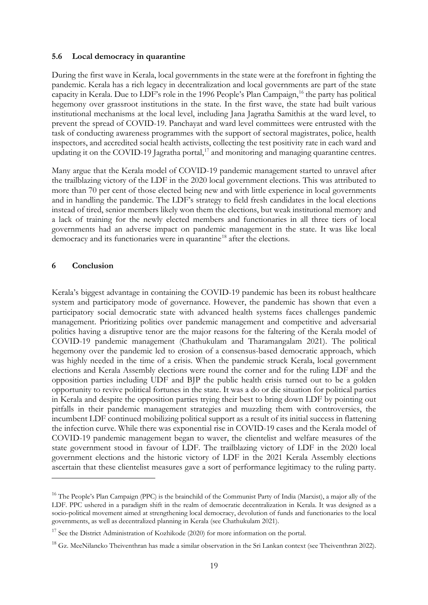# **5.6 Local democracy in quarantine**

During the first wave in Kerala, local governments in the state were at the forefront in fighting the pandemic. Kerala has a rich legacy in decentralization and local governments are part of the state capacity in Kerala. Due to LDF's role in the 1996 People's Plan Campaign, [16](#page-20-0) the party has political hegemony over grassroot institutions in the state. In the first wave, the state had built various institutional mechanisms at the local level, including Jana Jagratha Samithis at the ward level, to prevent the spread of COVID-19. Panchayat and ward level committees were entrusted with the task of conducting awareness programmes with the support of sectoral magistrates, police, health inspectors, and accredited social health activists, collecting the test positivity rate in each ward and updating it on the COVID-19 Jagratha portal,<sup>[17](#page-20-1)</sup> and monitoring and managing quarantine centres.

Many argue that the Kerala model of COVID-19 pandemic management started to unravel after the trailblazing victory of the LDF in the 2020 local government elections. This was attributed to more than 70 per cent of those elected being new and with little experience in local governments and in handling the pandemic. The LDF's strategy to field fresh candidates in the local elections instead of tired, senior members likely won them the elections, but weak institutional memory and a lack of training for the newly elected members and functionaries in all three tiers of local governments had an adverse impact on pandemic management in the state. It was like local democracy and its functionaries were in quarantine<sup>[18](#page-20-2)</sup> after the elections.

# **6 Conclusion**

Kerala's biggest advantage in containing the COVID-19 pandemic has been its robust healthcare system and participatory mode of governance. However, the pandemic has shown that even a participatory social democratic state with advanced health systems faces challenges pandemic management. Prioritizing politics over pandemic management and competitive and adversarial politics having a disruptive tenor are the major reasons for the faltering of the Kerala model of COVID-19 pandemic management (Chathukulam and Tharamangalam 2021). The political hegemony over the pandemic led to erosion of a consensus-based democratic approach, which was highly needed in the time of a crisis. When the pandemic struck Kerala, local government elections and Kerala Assembly elections were round the corner and for the ruling LDF and the opposition parties including UDF and BJP the public health crisis turned out to be a golden opportunity to revive political fortunes in the state. It was a do or die situation for political parties in Kerala and despite the opposition parties trying their best to bring down LDF by pointing out pitfalls in their pandemic management strategies and muzzling them with controversies, the incumbent LDF continued mobilizing political support as a result of its initial success in flattening the infection curve. While there was exponential rise in COVID-19 cases and the Kerala model of COVID-19 pandemic management began to waver, the clientelist and welfare measures of the state government stood in favour of LDF. The trailblazing victory of LDF in the 2020 local government elections and the historic victory of LDF in the 2021 Kerala Assembly elections ascertain that these clientelist measures gave a sort of performance legitimacy to the ruling party.

<span id="page-20-0"></span><sup>&</sup>lt;sup>16</sup> The People's Plan Campaign (PPC) is the brainchild of the Communist Party of India (Marxist), a major ally of the LDF. PPC ushered in a paradigm shift in the realm of democratic decentralization in Kerala. It was designed as a socio-political movement aimed at strengthening local democracy, devolution of funds and functionaries to the local governments, as well as decentralized planning in Kerala (see Chathukulam 2021).

<span id="page-20-1"></span><sup>&</sup>lt;sup>17</sup> See the District Administration of Kozhikode (2020) for more information on the portal.

<span id="page-20-2"></span> $^{18}$  Gz. MeeNilancko Theiventhran has made a similar observation in the Sri Lankan context (see Theiventhran 2022).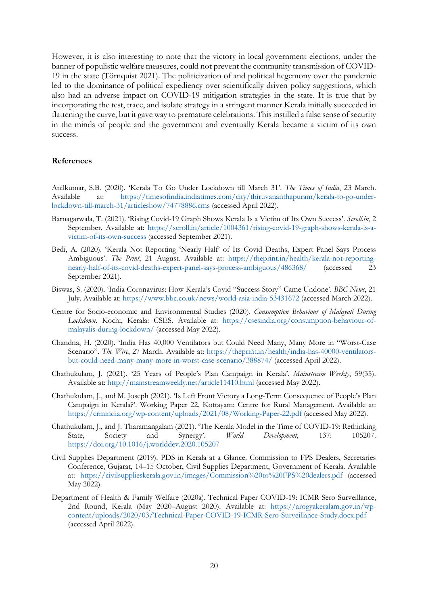However, it is also interesting to note that the victory in local government elections, under the banner of populistic welfare measures, could not prevent the community transmission of COVID-19 in the state (Törnquist 2021). The politicization of and political hegemony over the pandemic led to the dominance of political expediency over scientifically driven policy suggestions, which also had an adverse impact on COVID-19 mitigation strategies in the state. It is true that by incorporating the test, trace, and isolate strategy in a stringent manner Kerala initially succeeded in flattening the curve, but it gave way to premature celebrations. This instilled a false sense of security in the minds of people and the government and eventually Kerala became a victim of its own success.

# **References**

Anilkumar, S.B. (2020). 'Kerala To Go Under Lockdown till March 31'. *The Times of India*, 23 March. Available at: [https://timesofindia.indiatimes.com/city/thiruvananthapuram/kerala-to-go-under](https://timesofindia.indiatimes.com/city/thiruvananthapuram/kerala-to-go-under-lockdown-till-march-31/articleshow/74778886.cms)[lockdown-till-march-31/articleshow/74778886.cms](https://timesofindia.indiatimes.com/city/thiruvananthapuram/kerala-to-go-under-lockdown-till-march-31/articleshow/74778886.cms) (accessed April 2022).

- Barnagarwala, T. (2021). 'Rising Covid-19 Graph Shows Kerala Is a Victim of Its Own Success'. *Scroll.in*, 2 September. Available at: [https://scroll.in/article/1004361/rising-covid-19-graph-shows-kerala-is-a](https://scroll.in/article/1004361/rising-covid-19-graph-shows-kerala-is-a-victim-of-its-own-success)[victim-of-its-own-success](https://scroll.in/article/1004361/rising-covid-19-graph-shows-kerala-is-a-victim-of-its-own-success) (accessed September 2021).
- Bedi, A. (2020). 'Kerala Not Reporting 'Nearly Half' of Its Covid Deaths, Expert Panel Says Process Ambiguous'. *The Print*, 21 August. Available at: [https://theprint.in/health/kerala-not-reporting](https://theprint.in/health/kerala-not-reporting-nearly-half-of-its-covid-deaths-expert-panel-says-process-ambiguous/486368/)[nearly-half-of-its-covid-deaths-expert-panel-says-process-ambiguous/486368/](https://theprint.in/health/kerala-not-reporting-nearly-half-of-its-covid-deaths-expert-panel-says-process-ambiguous/486368/) (accessed 23 September 2021).
- Biswas, S. (2020). 'India Coronavirus: How Kerala's Covid "Success Story" Came Undone'. *BBC News*, 21 July. Available at: <https://www.bbc.co.uk/news/world-asia-india-53431672> (accessed March 2022).
- Centre for Socio-economic and Environmental Studies (2020). *Consumption Behaviour of Malayali During Lockdown*. Kochi, Kerala: CSES. Available at: [https://csesindia.org/consumption-behaviour-of](https://csesindia.org/consumption-behaviour-of-malayalis-during-lockdown/)[malayalis-during-lockdown/](https://csesindia.org/consumption-behaviour-of-malayalis-during-lockdown/) (accessed May 2022).
- Chandna, H. (2020). 'India Has 40,000 Ventilators but Could Need Many, Many More in "Worst-Case Scenario". *The Wire*, 27 March. Available at: [https://theprint.in/health/india-has-40000-ventilators](https://theprint.in/health/india-has-40000-ventilators-but-could-need-many-many-more-in-worst-case-scenario/388874/)[but-could-need-many-many-more-in-worst-case-scenario/388874/](https://theprint.in/health/india-has-40000-ventilators-but-could-need-many-many-more-in-worst-case-scenario/388874/) (accessed April 2022).
- Chathukulam, J. (2021). '25 Years of People's Plan Campaign in Kerala'. *Mainstream Weekly*, 59(35). Available at: <http://mainstreamweekly.net/article11410.html> (accessed May 2022).
- Chathukulam, J., and M. Joseph (2021). 'Is Left Front Victory a Long-Term Consequence of People's Plan Campaign in Kerala?'. Working Paper 22. Kottayam: Centre for Rural Management. Available at: <https://crmindia.org/wp-content/uploads/2021/08/Working-Paper-22.pdf> (accessed May 2022).
- Chathukulam, J., and J. Tharamangalam (2021). 'The Kerala Model in the Time of COVID-19: Rethinking State, Society and Synergy'. *World Development*, 137: 105207. <https://doi.org/10.1016/j.worlddev.2020.105207>
- Civil Supplies Department (2019). PDS in Kerala at a Glance. Commission to FPS Dealers, Secretaries Conference, Gujarat, 14–15 October, Civil Supplies Department, Government of Kerala. Available at: <https://civilsupplieskerala.gov.in/images/Commission%20to%20FPS%20dealers.pdf> (accessed May 2022).
- Department of Health & Family Welfare (2020a). Technical Paper COVID-19: ICMR Sero Surveillance, 2nd Round, Kerala (May 2020–August 2020). Available at: [https://arogyakeralam.gov.in/wp](https://arogyakeralam.gov.in/wp-content/uploads/2020/03/Technical-Paper-COVID-19-ICMR-Sero-Surveillance-Study.docx.pdf)[content/uploads/2020/03/Technical-Paper-COVID-19-ICMR-Sero-Surveillance-Study.docx.pdf](https://arogyakeralam.gov.in/wp-content/uploads/2020/03/Technical-Paper-COVID-19-ICMR-Sero-Surveillance-Study.docx.pdf) (accessed April 2022).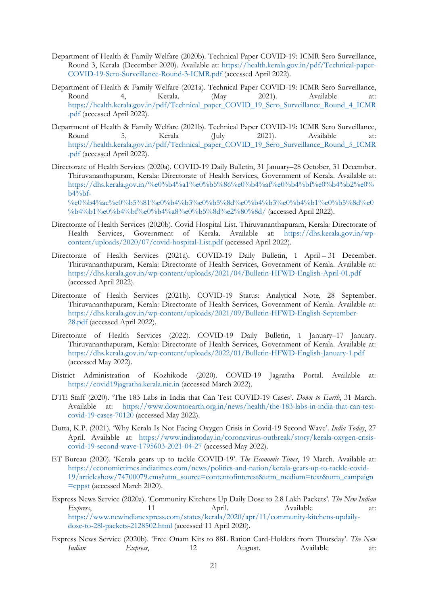- Department of Health & Family Welfare (2020b). Technical Paper COVID-19: ICMR Sero Surveillance, Round 3, Kerala (December 2020). Available at: [https://health.kerala.gov.in/pdf/Technical-paper-](https://health.kerala.gov.in/pdf/Technical-paper-COVID-19-Sero-Surveillance-Round-3-ICMR.pdf)[COVID-19-Sero-Surveillance-Round-3-ICMR.pdf](https://health.kerala.gov.in/pdf/Technical-paper-COVID-19-Sero-Surveillance-Round-3-ICMR.pdf) (accessed April 2022).
- Department of Health & Family Welfare (2021a). Technical Paper COVID-19: ICMR Sero Surveillance, Round 4, Kerala. (May 2021). Available at: [https://health.kerala.gov.in/pdf/Technical\\_paper\\_COVID\\_19\\_Sero\\_Surveillance\\_Round\\_4\\_ICMR](https://health.kerala.gov.in/pdf/Technical_paper_COVID_19_Sero_Surveillance_Round_4_ICMR.pdf) [.pdf](https://health.kerala.gov.in/pdf/Technical_paper_COVID_19_Sero_Surveillance_Round_4_ICMR.pdf) (accessed April 2022).
- Department of Health & Family Welfare (2021b). Technical Paper COVID-19: ICMR Sero Surveillance, Round 5, Kerala (July 2021). Available at: [https://health.kerala.gov.in/pdf/Technical\\_paper\\_COVID\\_19\\_Sero\\_Surveillance\\_Round\\_5\\_ICMR](https://health.kerala.gov.in/pdf/Technical_paper_COVID_19_Sero_Surveillance_Round_5_ICMR.pdf) [.pdf](https://health.kerala.gov.in/pdf/Technical_paper_COVID_19_Sero_Surveillance_Round_5_ICMR.pdf) (accessed April 2022).
- Directorate of Health Services (2020a). COVID-19 Daily Bulletin, 31 January–28 October, 31 December. Thiruvananthapuram, Kerala: Directorate of Health Services, Government of Kerala. Available at: [https://dhs.kerala.gov.in/%e0%b4%a1%e0%b5%86%e0%b4%af%e0%b4%bf%e0%b4%b2%e0%](https://dhs.kerala.gov.in/%e0%b4%a1%e0%b5%86%e0%b4%af%e0%b4%bf%e0%b4%b2%e0%b4%bf-%e0%b4%ac%e0%b5%81%e0%b4%b3%e0%b5%8d%e0%b4%b3%e0%b4%b1%e0%b5%8d%e0%b4%b1%e0%b4%bf%e0%b4%a8%e0%b5%8d%e2%80%8d/)  $b4%$

[%e0%b4%ac%e0%b5%81%e0%b4%b3%e0%b5%8d%e0%b4%b3%e0%b4%b1%e0%b5%8d%e0](https://dhs.kerala.gov.in/%e0%b4%a1%e0%b5%86%e0%b4%af%e0%b4%bf%e0%b4%b2%e0%b4%bf-%e0%b4%ac%e0%b5%81%e0%b4%b3%e0%b5%8d%e0%b4%b3%e0%b4%b1%e0%b5%8d%e0%b4%b1%e0%b4%bf%e0%b4%a8%e0%b5%8d%e2%80%8d/) [%b4%b1%e0%b4%bf%e0%b4%a8%e0%b5%8d%e2%80%8d/](https://dhs.kerala.gov.in/%e0%b4%a1%e0%b5%86%e0%b4%af%e0%b4%bf%e0%b4%b2%e0%b4%bf-%e0%b4%ac%e0%b5%81%e0%b4%b3%e0%b5%8d%e0%b4%b3%e0%b4%b1%e0%b5%8d%e0%b4%b1%e0%b4%bf%e0%b4%a8%e0%b5%8d%e2%80%8d/) (accessed April 2022).

- Directorate of Health Services (2020b). Covid Hospital List. Thiruvananthapuram, Kerala: Directorate of Health Services, Government of Kerala. Available at: [https://dhs.kerala.gov.in/wp](https://dhs.kerala.gov.in/wp-content/uploads/2020/07/covid-hospital-List.pdf)[content/uploads/2020/07/covid-hospital-List.pdf](https://dhs.kerala.gov.in/wp-content/uploads/2020/07/covid-hospital-List.pdf) (accessed April 2022).
- Directorate of Health Services (2021a). COVID-19 Daily Bulletin, 1 April 31 December. Thiruvananthapuram, Kerala: Directorate of Health Services, Government of Kerala. Available at: <https://dhs.kerala.gov.in/wp-content/uploads/2021/04/Bulletin-HFWD-English-April-01.pdf> (accessed April 2022).
- Directorate of Health Services (2021b). COVID-19 Status: Analytical Note, 28 September. Thiruvananthapuram, Kerala: Directorate of Health Services, Government of Kerala. Available at: [https://dhs.kerala.gov.in/wp-content/uploads/2021/09/Bulletin-HFWD-English-September-](https://dhs.kerala.gov.in/wp-content/uploads/2021/09/Bulletin-HFWD-English-September-28.pdf)[28.pdf](https://dhs.kerala.gov.in/wp-content/uploads/2021/09/Bulletin-HFWD-English-September-28.pdf) (accessed April 2022).
- Directorate of Health Services (2022). COVID-19 Daily Bulletin, 1 January–17 January. Thiruvananthapuram, Kerala: Directorate of Health Services, Government of Kerala. Available at: <https://dhs.kerala.gov.in/wp-content/uploads/2022/01/Bulletin-HFWD-English-January-1.pdf> (accessed May 2022).
- District Administration of Kozhikode (2020). COVID-19 Jagratha Portal. Available at: [https://covid19jagratha.kerala.nic.in](https://covid19jagratha.kerala.nic.in/) (accessed March 2022).
- DTE Staff (2020). 'The 183 Labs in India that Can Test COVID-19 Cases'. *Down to Earth*, 31 March. Available at: [https://www.downtoearth.org.in/news/health/the-183-labs-in-india-that-can-test](https://www.downtoearth.org.in/news/health/the-183-labs-in-india-that-can-test-covid-19-cases-70120)[covid-19-cases-70120](https://www.downtoearth.org.in/news/health/the-183-labs-in-india-that-can-test-covid-19-cases-70120) (accessed May 2022).
- Dutta, K.P. (2021). 'Why Kerala Is Not Facing Oxygen Crisis in Covid-19 Second Wave'. *India Today*, 27 April. Available at: [https://www.indiatoday.in/coronavirus-outbreak/story/kerala-oxygen-crisis](https://www.indiatoday.in/coronavirus-outbreak/story/kerala-oxygen-crisis-covid-19-second-wave-1795603-2021-04-27)[covid-19-second-wave-1795603-2021-04-27](https://www.indiatoday.in/coronavirus-outbreak/story/kerala-oxygen-crisis-covid-19-second-wave-1795603-2021-04-27) (accessed May 2022).
- ET Bureau (2020). 'Kerala gears up to tackle COVID-19'. *The Economic Times*, 19 March. Available at: [https://economictimes.indiatimes.com/news/politics-and-nation/kerala-gears-up-to-tackle-covid-](https://economictimes.indiatimes.com/news/politics-and-nation/kerala-gears-up-to-tackle-covid-19/articleshow/74700079.cms?utm_source=contentofinterest&utm_medium=text&utm_campaign=cppst)[19/articleshow/74700079.cms?utm\\_source=contentofinterest&utm\\_medium=text&utm\\_campaign](https://economictimes.indiatimes.com/news/politics-and-nation/kerala-gears-up-to-tackle-covid-19/articleshow/74700079.cms?utm_source=contentofinterest&utm_medium=text&utm_campaign=cppst) [=cppst](https://economictimes.indiatimes.com/news/politics-and-nation/kerala-gears-up-to-tackle-covid-19/articleshow/74700079.cms?utm_source=contentofinterest&utm_medium=text&utm_campaign=cppst) (accessed March 2020).
- Express News Service (2020a). 'Community Kitchens Up Daily Dose to 2.8 Lakh Packets'. *The New Indian Express*, 11 1 April. Available at: [https://www.newindianexpress.com/states/kerala/2020/apr/11/community-kitchens-updaily](https://www.newindianexpress.com/states/kerala/2020/apr/11/community-kitchens-updaily-dose-to-28l-packets-2128502.html)[dose-to-28l-packets-2128502.html](https://www.newindianexpress.com/states/kerala/2020/apr/11/community-kitchens-updaily-dose-to-28l-packets-2128502.html) (accessed 11 April 2020).
- Express News Service (2020b). 'Free Onam Kits to 88L Ration Card-Holders from Thursday'. *The New Indian Express*, 12 August. Available at: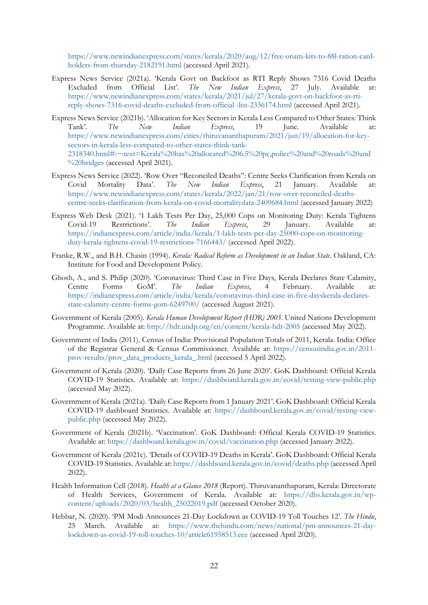[https://www.newindianexpress.com/states/kerala/2020/aug/12/free-onam-kits-to-88l-ration-card](https://www.newindianexpress.com/states/kerala/2020/aug/12/free-onam-kits-to-88l-ration-card-holders-from-thursday-2182191.html)[holders-from-thursday-2182191.html](https://www.newindianexpress.com/states/kerala/2020/aug/12/free-onam-kits-to-88l-ration-card-holders-from-thursday-2182191.html) (accessed April 2021).

- Express News Service (2021a). 'Kerala Govt on Backfoot as RTI Reply Shows 7316 Covid Deaths Excluded from Official List'. *The New Indian Express*, 27 July. Available at: [https://www.newindianexpress.com/states/kerala/2021/jul/27/kerala-govt-on-backfoot-as-rti](https://www.newindianexpress.com/states/kerala/2021/jul/27/kerala-govt-on-backfoot-as-rti-reply-shows-7316-covid-deaths-excluded-from-official%20-list-2336174.html)[reply-shows-7316-covid-deaths-excluded-from-official -list-2336174.html](https://www.newindianexpress.com/states/kerala/2021/jul/27/kerala-govt-on-backfoot-as-rti-reply-shows-7316-covid-deaths-excluded-from-official%20-list-2336174.html) (accessed April 2021).
- Express News Service (2021b). 'Allocation for Key Sectors in Kerala Less Compared to Other States: Think Tank'. *The New Indian Express*, 19 June. Available at: [https://www.newindianexpress.com/cities/thiruvananthapuram/2021/jun/19/allocation-for-key](https://www.newindianexpress.com/cities/thiruvananthapuram/2021/jun/19/allocation-for-key-sectors-in-kerala-less-compared-to-other-states-think-tank-2318340.html#:%7E:text=Kerala%20has%20allocated%206.5%20pc,police%20and%20roads%20and%20bridges)[sectors-in-kerala-less-compared-to-other-states-think-tank-](https://www.newindianexpress.com/cities/thiruvananthapuram/2021/jun/19/allocation-for-key-sectors-in-kerala-less-compared-to-other-states-think-tank-2318340.html#:%7E:text=Kerala%20has%20allocated%206.5%20pc,police%20and%20roads%20and%20bridges)[2318340.html#:~:text=Kerala%20has%20allocated%206.5%20pc,police%20and%20roads%20and](https://www.newindianexpress.com/cities/thiruvananthapuram/2021/jun/19/allocation-for-key-sectors-in-kerala-less-compared-to-other-states-think-tank-2318340.html#:%7E:text=Kerala%20has%20allocated%206.5%20pc,police%20and%20roads%20and%20bridges) [%20bridges](https://www.newindianexpress.com/cities/thiruvananthapuram/2021/jun/19/allocation-for-key-sectors-in-kerala-less-compared-to-other-states-think-tank-2318340.html#:%7E:text=Kerala%20has%20allocated%206.5%20pc,police%20and%20roads%20and%20bridges) (accessed April 2021).
- Express News Service (2022). 'Row Over "Reconciled Deaths": Centre Seeks Clarification from Kerala on Covid Mortality Data'. The New Indian Express, 21 January. Available at: Covid Mortality Data'. *The New Indian Express*, 21 January. Available at: [https://www.newindianexpress.com/states/kerala/2022/jan/21/row-over-reconciled-deaths](https://www.newindianexpress.com/states/kerala/2022/jan/21/row-over-reconciled-deaths-centre-seeks-clarification-from-kerala-on-covid-mortalitydata-2409684.html)[centre-seeks-clarification-from-kerala-on-covid-mortalitydata-2409684.html](https://www.newindianexpress.com/states/kerala/2022/jan/21/row-over-reconciled-deaths-centre-seeks-clarification-from-kerala-on-covid-mortalitydata-2409684.html) (accessed January 2022)
- Express Web Desk (2021). '1 Lakh Tests Per Day, 25,000 Cops on Monitoring Duty: Kerala Tightens Covid-19 Restrictions'. *The Indian Express*, 29 January. Available at: [https://indianexpress.com/article/india/kerala/1-lakh-tests-per-day-25000-cops-on-monitoring](https://indianexpress.com/article/india/kerala/1-lakh-tests-per-day-25000-cops-on-monitoring-duty-kerala-tightens-covid-19-restrictions-7166443/)[duty-kerala-tightens-covid-19-restrictions-7166443/](https://indianexpress.com/article/india/kerala/1-lakh-tests-per-day-25000-cops-on-monitoring-duty-kerala-tightens-covid-19-restrictions-7166443/) (accessed April 2022).
- Franke, R.W., and B.H. Chasin (1994). *Kerala: Radical Reform as Development in an Indian State*. Oakland, CA: Institute for Food and Development Policy.
- Ghosh, A., and S. Philip (2020). 'Coronavirus: Third Case in Five Days, Kerala Declares State Calamity, Centre Forms GoM'. *The Indian Express*, 4 February. Available at: [https://indianexpress.com/article/india/kerala/coronavirus-third-case-in-five-dayskerala-declares](https://indianexpress.com/article/india/kerala/coronavirus-third-case-in-five-dayskerala-declares-state-calamity-centre-forms-gom-6249700/)[state-calamity-centre-forms-gom-6249700/](https://indianexpress.com/article/india/kerala/coronavirus-third-case-in-five-dayskerala-declares-state-calamity-centre-forms-gom-6249700/) (accessed August 2021).
- Government of Kerala (2005). *Kerala Human Development Report (HDR) 2005*. United Nations Development Programme. Available at: <http://hdr.undp.org/en/content/kerala-hdr-2005> (accessed May 2022).
- Government of India (2011). Census of India: Provisional Population Totals of 2011, Kerala. India: Office of the Registrar General & Census Commissioner. Available at: [https://censusindia.gov.in/2011](https://censusindia.gov.in/2011-prov-results/prov_data_products_kerala_.html) [prov-results/prov\\_data\\_products\\_kerala\\_.html](https://censusindia.gov.in/2011-prov-results/prov_data_products_kerala_.html) (accessed 5 April 2022).
- Government of Kerala (2020). 'Daily Case Reports from 26 June 2020'. GoK Dashboard: Official Kerala COVID-19 Statistics. Available at: <https://dashboard.kerala.gov.in/covid/testing-view-public.php> (accessed May 2022).
- Government of Kerala (2021a). 'Daily Case Reports from 1 January 2021'. GoK Dashboard: Official Kerala COVID-19 dashboard Statistics. Available at: [https://dashboard.kerala.gov.in/covid/testing-view](https://dashboard.kerala.gov.in/covid/testing-view-public.php)[public.php](https://dashboard.kerala.gov.in/covid/testing-view-public.php) (accessed May 2022).
- Government of Kerala (2021b). 'Vaccination'. GoK Dashboard: Official Kerala COVID-19 Statistics. Available at: <https://dashboard.kerala.gov.in/covid/vaccination.php> (accessed January 2022).
- Government of Kerala (2021c). 'Details of COVID-19 Deaths in Kerala'. GoK Dashboard: Official Kerala COVID-19 Statistics. Available at: <https://dashboard.kerala.gov.in/covid/deaths.php> (accessed April 2022).
- Health Information Cell (2018). *Health at a Glance 2018* (Report). Thiruvananthapuram, Kerala: Directorate of Health Services, Government of Kerala. Available at: [https://dhs.kerala.gov.in/wp](https://dhs.kerala.gov.in/wp-content/uploads/2020/03/health_25022019.pdf)[content/uploads/2020/03/health\\_25022019.pdf](https://dhs.kerala.gov.in/wp-content/uploads/2020/03/health_25022019.pdf) (accessed October 2020).
- Hebbar, N. (2020). 'PM Modi Announces 21-Day Lockdown as COVID-19 Toll Touches 12'. *The Hindu*, 25 March. Available at: [https://www.thehindu.com/news/national/pm-announces-21-day](https://www.thehindu.com/news/national/pm-announces-21-day-lockdown-as-covid-19-toll-touches-10/article61958513.ece)[lockdown-as-covid-19-toll-touches-10/article61958513.ece](https://www.thehindu.com/news/national/pm-announces-21-day-lockdown-as-covid-19-toll-touches-10/article61958513.ece) (accessed April 2020).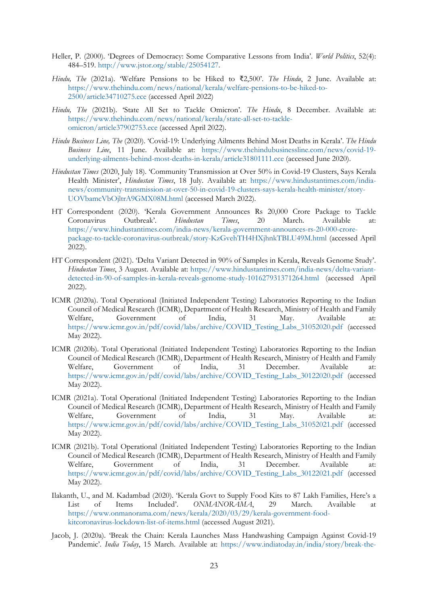- Heller, P. (2000). 'Degrees of Democracy: Some Comparative Lessons from India'. *World Politics*, 52(4): 484–519. [http://www.jstor.org/stable/25054127.](http://www.jstor.org/stable/25054127)
- *Hindu, The* (2021a). 'Welfare Pensions to be Hiked to ₹2,500'. *The Hindu*, 2 June. Available at: [https://www.thehindu.com/news/national/kerala/welfare-pensions-to-be-hiked-to-](https://www.thehindu.com/news/national/kerala/welfare-pensions-to-be-hiked-to-2500/article34710275.ece)[2500/article34710275.ece](https://www.thehindu.com/news/national/kerala/welfare-pensions-to-be-hiked-to-2500/article34710275.ece) (accessed April 2022)
- *Hindu, The* (2021b). 'State All Set to Tackle Omicron'. *The Hindu*, 8 December. Available at: [https://www.thehindu.com/news/national/kerala/state-all-set-to-tackle](https://www.thehindu.com/news/national/kerala/state-all-set-to-tackle-omicron/article37902753.ece)[omicron/article37902753.ece](https://www.thehindu.com/news/national/kerala/state-all-set-to-tackle-omicron/article37902753.ece) (accessed April 2022).
- *Hindu Business Line, The* (2020). 'Covid-19: Underlying Ailments Behind Most Deaths in Kerala'. *The Hindu Business Line*, 11 June. Available at: [https://www.thehindubusinessline.com/news/covid-19](https://www.thehindubusinessline.com/news/covid-19-underlying-ailments-behind-most-deaths-in-kerala/article31801111.ece) [underlying-ailments-behind-most-deaths-in-kerala/article31801111.ece](https://www.thehindubusinessline.com/news/covid-19-underlying-ailments-behind-most-deaths-in-kerala/article31801111.ece) (accessed June 2020).
- *Hindustan Times* (2020, July 18). 'Community Transmission at Over 50% in Covid-19 Clusters, Says Kerala Health Minister', *Hindustan Times*, 18 July. Available at: [https://www.hindustantimes.com/india](https://www.hindustantimes.com/india-news/community-transmission-at-over-50-in-covid-19-clusters-says-kerala-health-minister/story-UOVbamcVbOjltrA9GMX08M.html)[news/community-transmission-at-over-50-in-covid-19-clusters-says-kerala-health-minister/story-](https://www.hindustantimes.com/india-news/community-transmission-at-over-50-in-covid-19-clusters-says-kerala-health-minister/story-UOVbamcVbOjltrA9GMX08M.html)[UOVbamcVbOjltrA9GMX08M.html](https://www.hindustantimes.com/india-news/community-transmission-at-over-50-in-covid-19-clusters-says-kerala-health-minister/story-UOVbamcVbOjltrA9GMX08M.html) (accessed March 2022).
- HT Correspondent (2020). 'Kerala Government Announces Rs 20,000 Crore Package to Tackle Coronavirus Outbreak'. *Hindustan Times*, 20 March. Available at: [https://www.hindustantimes.com/india-news/kerala-government-announces-rs-20-000-crore](https://www.hindustantimes.com/india-news/kerala-government-announces-rs-20-000-crore-package-to-tackle-coronavirus-outbreak/story-KzGvehTH4HXjhnkTBLU49M.html)[package-to-tackle-coronavirus-outbreak/story-KzGvehTH4HXjhnkTBLU49M.html](https://www.hindustantimes.com/india-news/kerala-government-announces-rs-20-000-crore-package-to-tackle-coronavirus-outbreak/story-KzGvehTH4HXjhnkTBLU49M.html) (accessed April 2022).
- HT Correspondent (2021). 'Delta Variant Detected in 90% of Samples in Kerala, Reveals Genome Study'. *Hindustan Times*, 3 August. Available at: [https://www.hindustantimes.com/india-news/delta-variant](https://www.hindustantimes.com/india-news/delta-variant-detected-in-90-of-samples-in-kerala-reveals-genome-study-101627931371264.html)[detected-in-90-of-samples-in-kerala-reveals-genome-study-101627931371264.html](https://www.hindustantimes.com/india-news/delta-variant-detected-in-90-of-samples-in-kerala-reveals-genome-study-101627931371264.html) (accessed April 2022).
- ICMR (2020a). Total Operational (Initiated Independent Testing) Laboratories Reporting to the Indian Council of Medical Research (ICMR), Department of Health Research, Ministry of Health and Family Welfare, Government of India, 31 May. Available at: [https://www.icmr.gov.in/pdf/covid/labs/archive/COVID\\_Testing\\_Labs\\_31052020.pdf](https://www.icmr.gov.in/pdf/covid/labs/archive/COVID_Testing_Labs_31052020.pdf) (accessed May 2022).
- ICMR (2020b). Total Operational (Initiated Independent Testing) Laboratories Reporting to the Indian Council of Medical Research (ICMR), Department of Health Research, Ministry of Health and Family Welfare, Government of India, 31 December. Available at: [https://www.icmr.gov.in/pdf/covid/labs/archive/COVID\\_Testing\\_Labs\\_30122020.pdf](https://www.icmr.gov.in/pdf/covid/labs/archive/COVID_Testing_Labs_30122020.pdf) (accessed May 2022).
- ICMR (2021a). Total Operational (Initiated Independent Testing) Laboratories Reporting to the Indian Council of Medical Research (ICMR), Department of Health Research, Ministry of Health and Family Welfare, Government of India, 31 May. Available at: [https://www.icmr.gov.in/pdf/covid/labs/archive/COVID\\_Testing\\_Labs\\_31052021.pdf](https://www.icmr.gov.in/pdf/covid/labs/archive/COVID_Testing_Labs_31052021.pdf) (accessed May 2022).
- ICMR (2021b). Total Operational (Initiated Independent Testing) Laboratories Reporting to the Indian Council of Medical Research (ICMR), Department of Health Research, Ministry of Health and Family Welfare, Government of India, 31 December. Available at: [https://www.icmr.gov.in/pdf/covid/labs/archive/COVID\\_Testing\\_Labs\\_30122021.pdf](https://www.icmr.gov.in/pdf/covid/labs/archive/COVID_Testing_Labs_30122021.pdf) (accessed May 2022).
- Ilakanth, U., and M. Kadambad (2020). 'Kerala Govt to Supply Food Kits to 87 Lakh Families, Here's a List of Items Included'. *ONMANORAMA*, 29 March. Available at [https://www.onmanorama.com/news/kerala/2020/03/29/kerala-government-food](https://www.onmanorama.com/news/kerala/2020/03/29/kerala-government-food-kitcoronavirus-lockdown-list-of-items.html)[kitcoronavirus-lockdown-list-of-items.html](https://www.onmanorama.com/news/kerala/2020/03/29/kerala-government-food-kitcoronavirus-lockdown-list-of-items.html) (accessed August 2021).
- Jacob, J. (2020a). 'Break the Chain: Kerala Launches Mass Handwashing Campaign Against Covid-19 Pandemic'. *India Today*, 15 March. Available at: [https://www.indiatoday.in/india/story/break-the-](https://www.indiatoday.in/india/story/break-the-chain-kerala-launches-masshandwashing-campaign-against-covid-19-pandemic-1655819-2020-03-15)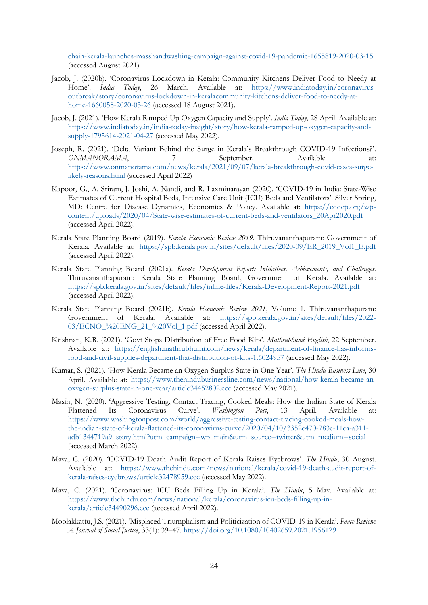[chain-kerala-launches-masshandwashing-campaign-against-covid-19-pandemic-1655819-2020-03-15](https://www.indiatoday.in/india/story/break-the-chain-kerala-launches-masshandwashing-campaign-against-covid-19-pandemic-1655819-2020-03-15) (accessed August 2021).

- Jacob, J. (2020b). 'Coronavirus Lockdown in Kerala: Community Kitchens Deliver Food to Needy at Home'. *India Today*, 26 March. Available at: [https://www.indiatoday.in/coronavirus](https://www.indiatoday.in/coronavirus-outbreak/story/coronavirus-lockdown-in-keralacommunity-kitchens-deliver-food-to-needy-at-home-1660058-2020-03-26)[outbreak/story/coronavirus-lockdown-in-keralacommunity-kitchens-deliver-food-to-needy-at](https://www.indiatoday.in/coronavirus-outbreak/story/coronavirus-lockdown-in-keralacommunity-kitchens-deliver-food-to-needy-at-home-1660058-2020-03-26)[home-1660058-2020-03-26](https://www.indiatoday.in/coronavirus-outbreak/story/coronavirus-lockdown-in-keralacommunity-kitchens-deliver-food-to-needy-at-home-1660058-2020-03-26) (accessed 18 August 2021).
- Jacob, J. (2021). 'How Kerala Ramped Up Oxygen Capacity and Supply'. *India Today*, 28 April. Available at: [https://www.indiatoday.in/india-today-insight/story/how-kerala-ramped-up-oxygen-capacity-and](https://www.indiatoday.in/india-today-insight/story/how-kerala-ramped-up-oxygen-capacity-and-supply-1795614-2021-04-27)[supply-1795614-2021-04-27](https://www.indiatoday.in/india-today-insight/story/how-kerala-ramped-up-oxygen-capacity-and-supply-1795614-2021-04-27) (accessed May 2022).
- Joseph, R. (2021). 'Delta Variant Behind the Surge in Kerala's Breakthrough COVID-19 Infections?'. *ONMANORAMA*, 7 September. Available at: [https://www.onmanorama.com/news/kerala/2021/09/07/kerala-breakthrough-covid-cases-surge](https://www.onmanorama.com/news/kerala/2021/09/07/kerala-breakthrough-covid-cases-surge-likely-reasons.html)[likely-reasons.html](https://www.onmanorama.com/news/kerala/2021/09/07/kerala-breakthrough-covid-cases-surge-likely-reasons.html) (accessed April 2022)
- Kapoor, G., A. Sriram, J. Joshi, A. Nandi, and R. Laxminarayan (2020). 'COVID-19 in India: State-Wise Estimates of Current Hospital Beds, Intensive Care Unit (ICU) Beds and Ventilators'. Silver Spring, MD: Centre for Disease Dynamics, Economics & Policy. Available at: [https://cddep.org/wp](https://cddep.org/wp-content/uploads/2020/04/State-wise-estimates-of-current-beds-and-ventilators_20Apr2020.pdf)[content/uploads/2020/04/State-wise-estimates-of-current-beds-and-ventilators\\_20Apr2020.pdf](https://cddep.org/wp-content/uploads/2020/04/State-wise-estimates-of-current-beds-and-ventilators_20Apr2020.pdf) (accessed April 2022).
- Kerala State Planning Board (2019). *Kerala Economic Review 2019*. Thiruvananthapuram: Government of Kerala. Available at: [https://spb.kerala.gov.in/sites/default/files/2020-09/ER\\_2019\\_Vol1\\_E.pdf](https://spb.kerala.gov.in/sites/default/files/2020-09/ER_2019_Vol1_E.pdf) (accessed April 2022).
- Kerala State Planning Board (2021a). *Kerala Development Report: Initiatives, Achievements, and Challenges*. Thiruvananthapuram: Kerala State Planning Board, Government of Kerala. Available at: <https://spb.kerala.gov.in/sites/default/files/inline-files/Kerala-Development-Report-2021.pdf> (accessed April 2022).
- Kerala State Planning Board (2021b). *Kerala Economic Review 2021*, Volume 1. Thiruvananthapuram: Government of Kerala. Available at: [https://spb.kerala.gov.in/sites/default/files/2022-](https://spb.kerala.gov.in/sites/default/files/2022-03/ECNO_%20ENG_21_%20Vol_1.pdf) [03/ECNO\\_%20ENG\\_21\\_%20Vol\\_1.pdf](https://spb.kerala.gov.in/sites/default/files/2022-03/ECNO_%20ENG_21_%20Vol_1.pdf) (accessed April 2022).
- Krishnan, K.R. (2021). 'Govt Stops Distribution of Free Food Kits'. *Mathrubhumi English*, 22 September. Available at: [https://english.mathrubhumi.com/news/kerala/department-of-finance-has-informs](https://english.mathrubhumi.com/news/kerala/department-of-finance-has-informs-food-and-civil-supplies-department-that-distribution-of-kits-1.6024957)[food-and-civil-supplies-department-that-distribution-of-kits-1.6024957](https://english.mathrubhumi.com/news/kerala/department-of-finance-has-informs-food-and-civil-supplies-department-that-distribution-of-kits-1.6024957) (accessed May 2022).
- Kumar, S. (2021). 'How Kerala Became an Oxygen-Surplus State in One Year'. *The Hindu Business Line*, 30 April. Available at: [https://www.thehindubusinessline.com/news/national/how-kerala-became-an](https://www.thehindubusinessline.com/news/national/how-kerala-became-an-oxygen-surplus-state-in-one-year/article34452802.ece)[oxygen-surplus-state-in-one-year/article34452802.ece](https://www.thehindubusinessline.com/news/national/how-kerala-became-an-oxygen-surplus-state-in-one-year/article34452802.ece) (accessed May 2021).
- Masih, N. (2020). 'Aggressive Testing, Contact Tracing, Cooked Meals: How the Indian State of Kerala Flattened Its Coronavirus Curve'. *Washington Post*, 13 April. Available at: [https://www.washingtonpost.com/world/aggressive-testing-contact-tracing-cooked-meals-how](https://www.washingtonpost.com/world/aggressive-testing-contact-tracing-cooked-meals-how-the-indian-state-of-kerala-flattened-its-coronavirus-curve/2020/04/10/3352e470-783e-11ea-a311-adb1344719a9_story.html?utm_campaign=wp_main&utm_source=twitter&utm_medium=social)[the-indian-state-of-kerala-flattened-its-coronavirus-curve/2020/04/10/3352e470-783e-11ea-a311](https://www.washingtonpost.com/world/aggressive-testing-contact-tracing-cooked-meals-how-the-indian-state-of-kerala-flattened-its-coronavirus-curve/2020/04/10/3352e470-783e-11ea-a311-adb1344719a9_story.html?utm_campaign=wp_main&utm_source=twitter&utm_medium=social) [adb1344719a9\\_story.html?utm\\_campaign=wp\\_main&utm\\_source=twitter&utm\\_medium=social](https://www.washingtonpost.com/world/aggressive-testing-contact-tracing-cooked-meals-how-the-indian-state-of-kerala-flattened-its-coronavirus-curve/2020/04/10/3352e470-783e-11ea-a311-adb1344719a9_story.html?utm_campaign=wp_main&utm_source=twitter&utm_medium=social) (accessed March 2022).
- Maya, C. (2020). 'COVID-19 Death Audit Report of Kerala Raises Eyebrows'. *The Hindu*, 30 August. Available at: [https://www.thehindu.com/news/national/kerala/covid-19-death-audit-report-of](https://www.thehindu.com/news/national/kerala/covid-19-death-audit-report-of-kerala-raises-eyebrows/article32478959.ece)[kerala-raises-eyebrows/article32478959.ece](https://www.thehindu.com/news/national/kerala/covid-19-death-audit-report-of-kerala-raises-eyebrows/article32478959.ece) (accessed May 2022).
- Maya, C. (2021). 'Coronavirus: ICU Beds Filling Up in Kerala'. *The Hindu*, 5 May. Available at: [https://www.thehindu.com/news/national/kerala/coronavirus-icu-beds-filling-up-in](https://www.thehindu.com/news/national/kerala/coronavirus-icu-beds-filling-up-in-kerala/article34490296.ece)[kerala/article34490296.ece](https://www.thehindu.com/news/national/kerala/coronavirus-icu-beds-filling-up-in-kerala/article34490296.ece) (accessed April 2022).
- Moolakkattu, J.S. (2021). 'Misplaced Triumphalism and Politicization of COVID-19 in Kerala'. *Peace Review: A Journal of Social Justice*, 33(1): 39–47. <https://doi.org/10.1080/10402659.2021.1956129>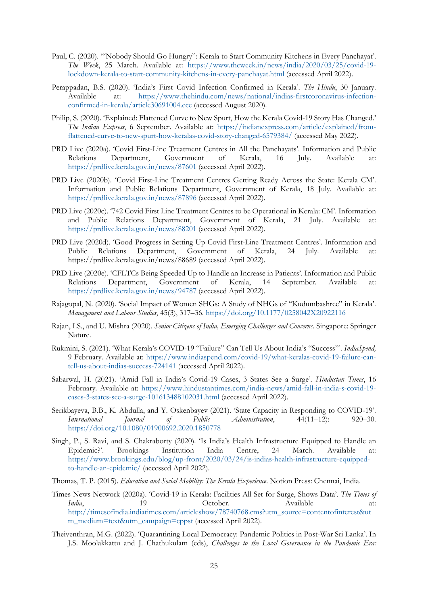- Paul, C. (2020). '"Nobody Should Go Hungry": Kerala to Start Community Kitchens in Every Panchayat'. *The Week*, 25 March. Available at: [https://www.theweek.in/news/india/2020/03/25/covid-19](https://www.theweek.in/news/india/2020/03/25/covid-19-lockdown-kerala-to-start-community-kitchens-in-every-panchayat.html) [lockdown-kerala-to-start-community-kitchens-in-every-panchayat.html](https://www.theweek.in/news/india/2020/03/25/covid-19-lockdown-kerala-to-start-community-kitchens-in-every-panchayat.html) (accessed April 2022).
- Perappadan, B.S. (2020). 'India's First Covid Infection Confirmed in Kerala'. *The Hindu*, 30 January. Available at: [https://www.thehindu.com/news/national/indias-firstcoronavirus-infection](https://www.thehindu.com/news/national/indias-firstcoronavirus-infection-confirmed-in-kerala/article30691004.ece)[confirmed-in-kerala/article30691004.ece](https://www.thehindu.com/news/national/indias-firstcoronavirus-infection-confirmed-in-kerala/article30691004.ece) (accessed August 2020).
- Philip, S. (2020). 'Explained: Flattened Curve to New Spurt, How the Kerala Covid-19 Story Has Changed.' *The Indian Express*, 6 September. Available at: [https://indianexpress.com/article/explained/from](https://indianexpress.com/article/explained/from-flattened-curve-to-new-spurt-how-keralas-covid-story-changed-6579384/)[flattened-curve-to-new-spurt-how-keralas-covid-story-changed-6579384/](https://indianexpress.com/article/explained/from-flattened-curve-to-new-spurt-how-keralas-covid-story-changed-6579384/) (accessed May 2022).
- PRD Live (2020a). 'Covid First-Line Treatment Centres in All the Panchayats'. Information and Public Relations Department, Government of Kerala, 16 July. Available at: <https://prdlive.kerala.gov.in/news/87601> (accessed April 2022).
- PRD Live (2020b). 'Covid First-Line Treatment Centres Getting Ready Across the State: Kerala CM'. Information and Public Relations Department, Government of Kerala, 18 July. Available at: <https://prdlive.kerala.gov.in/news/87896> (accessed April 2022).
- PRD Live (2020c). '742 Covid First Line Treatment Centres to be Operational in Kerala: CM'. Information and Public Relations Department, Government of Kerala, 21 July. Available at: <https://prdlive.kerala.gov.in/news/88201> (accessed April 2022).
- PRD Live (2020d). 'Good Progress in Setting Up Covid First-Line Treatment Centres'. Information and Public Relations Department, Government of Kerala, 24 July. Available at: https://prdlive.kerala.gov.in/news/88689 (accessed April 2022).
- PRD Live (2020e). 'CFLTCs Being Speeded Up to Handle an Increase in Patients'. Information and Public Relations Department, Government of Kerala, 14 September. Available <https://prdlive.kerala.gov.in/news/94787> (accessed April 2022).
- Rajagopal, N. (2020). 'Social Impact of Women SHGs: A Study of NHGs of "Kudumbashree" in Kerala'. *Management and Labour Studies*, 45(3), 317–36. <https://doi.org/10.1177/0258042X20922116>
- Rajan, I.S., and U. Mishra (2020). *Senior Citizens of India, Emerging Challenges and Concerns*. Singapore: Springer Nature.
- Rukmini, S. (2021). 'What Kerala's COVID-19 "Failure" Can Tell Us About India's "Success"'. *IndiaSpend,* 9 February. Available at: [https://www.indiaspend.com/covid-19/what-keralas-covid-19-failure-can](https://www.indiaspend.com/covid-19/what-keralas-covid-19-failure-can-tell-us-about-indias-success-724141)[tell-us-about-indias-success-724141](https://www.indiaspend.com/covid-19/what-keralas-covid-19-failure-can-tell-us-about-indias-success-724141) (accessed April 2022).
- Sabarwal, H. (2021). 'Amid Fall in India's Covid-19 Cases, 3 States See a Surge'. *Hindustan Times*, 16 February. Available at: [https://www.hindustantimes.com/india-news/amid-fall-in-india-s-covid-19](https://www.hindustantimes.com/india-news/amid-fall-in-india-s-covid-19-cases-3-states-see-a-surge-101613488102031.html) [cases-3-states-see-a-surge-101613488102031.html](https://www.hindustantimes.com/india-news/amid-fall-in-india-s-covid-19-cases-3-states-see-a-surge-101613488102031.html) (accessed April 2022).
- Serikbayeva, B.B., K. Abdulla, and Y. Oskenbayev (2021). 'State Capacity in Responding to COVID-19'. *International Journal of Public Administration*, 44(11–12): 920–30. <https://doi.org/10.1080/01900692.2020.1850778>
- Singh, P., S. Ravi, and S. Chakraborty (2020). 'Is India's Health Infrastructure Equipped to Handle an Epidemic?'. Brookings Institution India Centre, 24 March. Available at: [https://www.brookings.edu/blog/up-front/2020/03/24/is-indias-health-infrastructure-equipped](https://www.brookings.edu/blog/up-front/2020/03/24/is-indias-health-infrastructure-equipped-to-handle-an-epidemic/)[to-handle-an-epidemic/](https://www.brookings.edu/blog/up-front/2020/03/24/is-indias-health-infrastructure-equipped-to-handle-an-epidemic/) (accessed April 2022).
- Thomas, T. P. (2015). *Education and Social Mobility: The Kerala Experience*. Notion Press: Chennai, India.
- Times News Network (2020a). 'Covid-19 in Kerala: Facilities All Set for Surge, Shows Data'. *The Times of India*, 19 19 October. Available at: [http://timesofindia.indiatimes.com/articleshow/78740768.cms?utm\\_source=contentofinterest&ut](http://timesofindia.indiatimes.com/articleshow/78740768.cms?utm_source=contentofinterest&utm_medium=text&utm_campaign=cppst) [m\\_medium=text&utm\\_campaign=cppst](http://timesofindia.indiatimes.com/articleshow/78740768.cms?utm_source=contentofinterest&utm_medium=text&utm_campaign=cppst) (accessed April 2022).
- Theiventhran, M.G. (2022). 'Quarantining Local Democracy: Pandemic Politics in Post-War Sri Lanka'. In J.S. Moolakkattu and J. Chathukulam (eds), *Challenges to the Local Governance in the Pandemic Era:*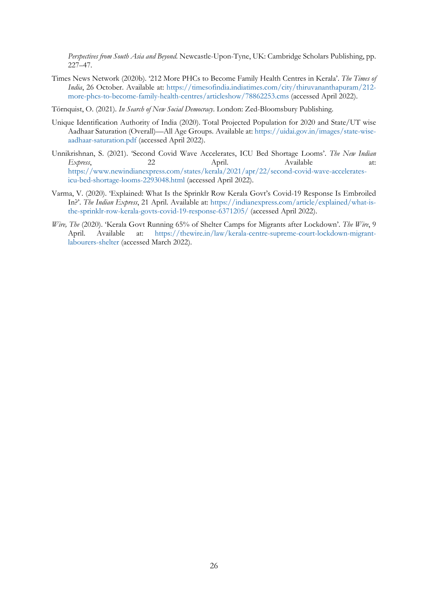*Perspectives from South Asia and Beyond*. Newcastle-Upon-Tyne, UK: Cambridge Scholars Publishing, pp. 227–47.

- Times News Network (2020b). '212 More PHCs to Become Family Health Centres in Kerala'. *The Times of India*, 26 October. Available at: [https://timesofindia.indiatimes.com/city/thiruvananthapuram/212](https://timesofindia.indiatimes.com/city/thiruvananthapuram/212-more-phcs-to-become-family-health-centres/articleshow/78862253.cms) [more-phcs-to-become-family-health-centres/articleshow/78862253.cms](https://timesofindia.indiatimes.com/city/thiruvananthapuram/212-more-phcs-to-become-family-health-centres/articleshow/78862253.cms) (accessed April 2022).
- Törnquist, O. (2021). *In Search of New Social Democracy*. London: Zed-Bloomsbury Publishing.
- Unique Identification Authority of India (2020). Total Projected Population for 2020 and State/UT wise Aadhaar Saturation (Overall)—All Age Groups. Available at: [https://uidai.gov.in/images/state-wise](https://uidai.gov.in/images/state-wise-aadhaar-saturation.pdf)[aadhaar-saturation.pdf](https://uidai.gov.in/images/state-wise-aadhaar-saturation.pdf) (accessed April 2022).
- Unnikrishnan, S. (2021). 'Second Covid Wave Accelerates, ICU Bed Shortage Looms'. *The New Indian Express*, 22 April. Available at: [https://www.newindianexpress.com/states/kerala/2021/apr/22/second-covid-wave-accelerates](https://www.newindianexpress.com/states/kerala/2021/apr/22/second-covid-wave-accelerates-icu-bed-shortage-looms-2293048.html)[icu-bed-shortage-looms-2293048.html](https://www.newindianexpress.com/states/kerala/2021/apr/22/second-covid-wave-accelerates-icu-bed-shortage-looms-2293048.html) (accessed April 2022).
- Varma, V. (2020). 'Explained: What Is the Sprinklr Row Kerala Govt's Covid-19 Response Is Embroiled In?'. *The Indian Express*, 21 April. Available at: [https://indianexpress.com/article/explained/what-is](https://indianexpress.com/article/explained/what-is-the-sprinklr-row-kerala-govts-covid-19-response-6371205/)[the-sprinklr-row-kerala-govts-covid-19-response-6371205/](https://indianexpress.com/article/explained/what-is-the-sprinklr-row-kerala-govts-covid-19-response-6371205/) (accessed April 2022).
- *Wire, The* (2020). 'Kerala Govt Running 65% of Shelter Camps for Migrants after Lockdown'. *The Wire*, 9 April. Available at: [https://thewire.in/law/kerala-centre-supreme-court-lockdown-migrant](https://thewire.in/law/kerala-centre-supreme-court-lockdown-migrant-labourers-shelter)[labourers-shelter](https://thewire.in/law/kerala-centre-supreme-court-lockdown-migrant-labourers-shelter) (accessed March 2022).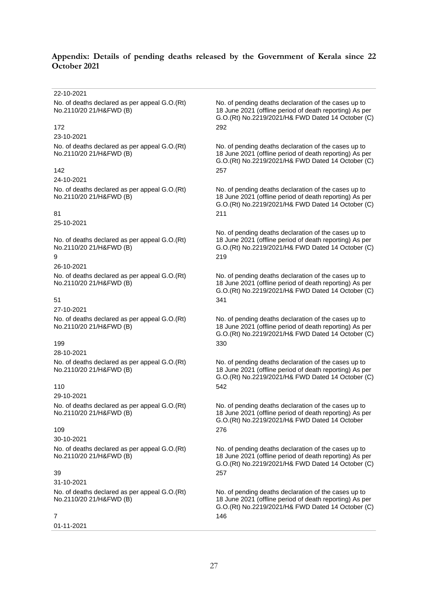# **Appendix: Details of pending deaths released by the Government of Kerala since 22 October 2021**

| 22-10-2021                                                                    |                                                                                                                                                                             |
|-------------------------------------------------------------------------------|-----------------------------------------------------------------------------------------------------------------------------------------------------------------------------|
| No. of deaths declared as per appeal G.O.(Rt)<br>No.2110/20 21/H&FWD (B)      | No. of pending deaths declaration of the cases up to<br>18 June 2021 (offline period of death reporting) As per<br>G.O.(Rt) No.2219/2021/H& FWD Dated 14 October (C)        |
| 172                                                                           | 292                                                                                                                                                                         |
| 23-10-2021                                                                    |                                                                                                                                                                             |
| No. of deaths declared as per appeal G.O.(Rt)<br>No.2110/20 21/H&FWD (B)      | No. of pending deaths declaration of the cases up to<br>18 June 2021 (offline period of death reporting) As per<br>G.O.(Rt) No.2219/2021/H& FWD Dated 14 October (C)        |
| 142                                                                           | 257                                                                                                                                                                         |
| 24-10-2021                                                                    |                                                                                                                                                                             |
| No. of deaths declared as per appeal G.O.(Rt)<br>No.2110/20 21/H&FWD (B)      | No. of pending deaths declaration of the cases up to<br>18 June 2021 (offline period of death reporting) As per<br>G.O.(Rt) No.2219/2021/H& FWD Dated 14 October (C)        |
| 81                                                                            | 211                                                                                                                                                                         |
| 25-10-2021                                                                    |                                                                                                                                                                             |
| No. of deaths declared as per appeal G.O.(Rt)<br>No.2110/20 21/H&FWD (B)<br>9 | No. of pending deaths declaration of the cases up to<br>18 June 2021 (offline period of death reporting) As per<br>G.O.(Rt) No.2219/2021/H& FWD Dated 14 October (C)<br>219 |
| 26-10-2021                                                                    |                                                                                                                                                                             |
| No. of deaths declared as per appeal G.O.(Rt)<br>No.2110/20 21/H&FWD (B)      | No. of pending deaths declaration of the cases up to<br>18 June 2021 (offline period of death reporting) As per<br>G.O.(Rt) No.2219/2021/H& FWD Dated 14 October (C)        |
| 51                                                                            | 341                                                                                                                                                                         |
| 27-10-2021                                                                    |                                                                                                                                                                             |
| No. of deaths declared as per appeal G.O.(Rt)<br>No.2110/20 21/H&FWD (B)      | No. of pending deaths declaration of the cases up to<br>18 June 2021 (offline period of death reporting) As per<br>G.O.(Rt) No.2219/2021/H& FWD Dated 14 October (C)        |
| 199                                                                           | 330                                                                                                                                                                         |
| 28-10-2021                                                                    |                                                                                                                                                                             |
| No. of deaths declared as per appeal G.O.(Rt)<br>No.2110/20 21/H&FWD (B)      | No. of pending deaths declaration of the cases up to<br>18 June 2021 (offline period of death reporting) As per<br>G.O.(Rt) No.2219/2021/H& FWD Dated 14 October (C)        |
| 110                                                                           | 542                                                                                                                                                                         |
| 29-10-2021                                                                    |                                                                                                                                                                             |
| No. of deaths declared as per appeal G.O.(Rt)<br>No.2110/20 21/H&FWD (B)      | No. of pending deaths declaration of the cases up to<br>18 June 2021 (offline period of death reporting) As per<br>G.O.(Rt) No.2219/2021/H& FWD Dated 14 October            |
| 109                                                                           | 276                                                                                                                                                                         |
| 30-10-2021                                                                    |                                                                                                                                                                             |
| No. of deaths declared as per appeal G.O.(Rt)<br>No.2110/20 21/H&FWD (B)      | No. of pending deaths declaration of the cases up to<br>18 June 2021 (offline period of death reporting) As per<br>G.O.(Rt) No.2219/2021/H& FWD Dated 14 October (C)        |
| 39                                                                            | 257                                                                                                                                                                         |
| 31-10-2021                                                                    |                                                                                                                                                                             |
| No. of deaths declared as per appeal G.O.(Rt)<br>No.2110/20 21/H&FWD (B)      | No. of pending deaths declaration of the cases up to<br>18 June 2021 (offline period of death reporting) As per<br>G.O.(Rt) No.2219/2021/H& FWD Dated 14 October (C)        |
| 7                                                                             | 146                                                                                                                                                                         |
| 01-11-2021                                                                    |                                                                                                                                                                             |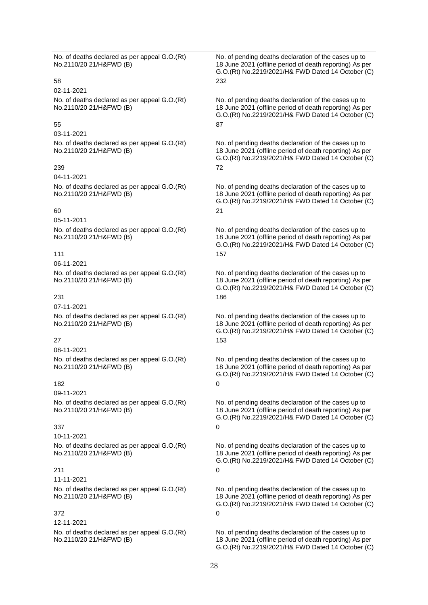No. of deaths declared as per appeal G.O.(Rt) No.2110/20 21/H&FWD (B)

02-11-2021 No. of deaths declared as per appeal G.O.(Rt) No.2110/20 21/H&FWD (B)

# 55 87

# 03-11-2021

No. of deaths declared as per appeal G.O.(Rt) No.2110/20 21/H&FWD (B)

# 239 72

04-11-2021 No. of deaths declared as per appeal G.O.(Rt) No.2110/20 21/H&FWD (B)

# 60 21

05-11-2011 No. of deaths declared as per appeal G.O.(Rt) No.2110/20 21/H&FWD (B)

# 111 157

06-11-2021 No. of deaths declared as per appeal G.O.(Rt) No.2110/20 21/H&FWD (B)

# 231 186

07-11-2021 No. of deaths declared as per appeal G.O.(Rt) No.2110/20 21/H&FWD (B)

08-11-2021 No. of deaths declared as per appeal G.O.(Rt) No.2110/20 21/H&FWD (B)

# 182 0

09-11-2021 No. of deaths declared as per appeal G.O.(Rt) No.2110/20 21/H&FWD (B)

# 337 0

10-11-2021 No. of deaths declared as per appeal G.O.(Rt) No.2110/20 21/H&FWD (B)

# 211 0

11-11-2021

No. of deaths declared as per appeal G.O.(Rt) No.2110/20 21/H&FWD (B)

# 372 0

12-11-2021 No. of deaths declared as per appeal G.O.(Rt) No.2110/20 21/H&FWD (B)

No. of pending deaths declaration of the cases up to 18 June 2021 (offline period of death reporting) As per G.O.(Rt) No.2219/2021/H& FWD Dated 14 October (C) 58 232

> No. of pending deaths declaration of the cases up to 18 June 2021 (offline period of death reporting) As per G.O.(Rt) No.2219/2021/H& FWD Dated 14 October (C)

> No. of pending deaths declaration of the cases up to 18 June 2021 (offline period of death reporting) As per G.O.(Rt) No.2219/2021/H& FWD Dated 14 October (C)

> No. of pending deaths declaration of the cases up to 18 June 2021 (offline period of death reporting) As per G.O.(Rt) No.2219/2021/H& FWD Dated 14 October (C)

> No. of pending deaths declaration of the cases up to 18 June 2021 (offline period of death reporting) As per G.O.(Rt) No.2219/2021/H& FWD Dated 14 October (C)

> No. of pending deaths declaration of the cases up to 18 June 2021 (offline period of death reporting) As per G.O.(Rt) No.2219/2021/H& FWD Dated 14 October (C)

No. of pending deaths declaration of the cases up to 18 June 2021 (offline period of death reporting) As per G.O.(Rt) No.2219/2021/H& FWD Dated 14 October (C)  $27$  153

> No. of pending deaths declaration of the cases up to 18 June 2021 (offline period of death reporting) As per G.O.(Rt) No.2219/2021/H& FWD Dated 14 October (C)

> No. of pending deaths declaration of the cases up to 18 June 2021 (offline period of death reporting) As per G.O.(Rt) No.2219/2021/H& FWD Dated 14 October (C)

> No. of pending deaths declaration of the cases up to 18 June 2021 (offline period of death reporting) As per G.O.(Rt) No.2219/2021/H& FWD Dated 14 October (C)

> No. of pending deaths declaration of the cases up to 18 June 2021 (offline period of death reporting) As per G.O.(Rt) No.2219/2021/H& FWD Dated 14 October (C)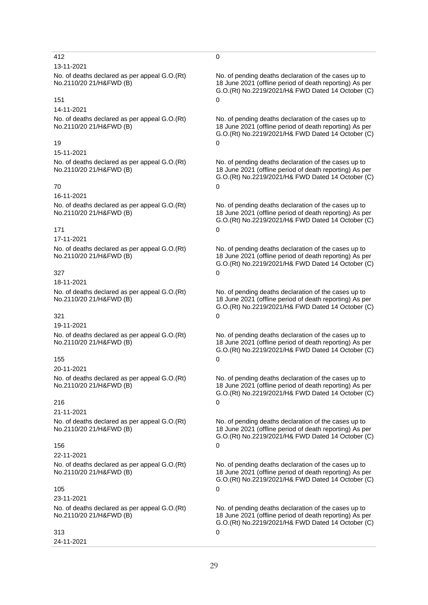# 412 0

# 13-11-2021

No. of deaths declared as per appeal G.O.(Rt) No.2110/20 21/H&FWD (B)

# $151$  0

# 14-11-2021

No. of deaths declared as per appeal G.O.(Rt) No.2110/20 21/H&FWD (B)

# 19 0

15-11-2021 No. of deaths declared as per appeal G.O.(Rt) No.2110/20 21/H&FWD (B)

### 70 0

16-11-2021 No. of deaths declared as per appeal G.O.(Rt) No.2110/20 21/H&FWD (B)

# $171$  0

17-11-2021

No. of deaths declared as per appeal G.O.(Rt) No.2110/20 21/H&FWD (B)

# $327$  0

18-11-2021

No. of deaths declared as per appeal G.O.(Rt) No.2110/20 21/H&FWD (B)

# $321$  0

19-11-2021 No. of deaths declared as per appeal G.O.(Rt) No.2110/20 21/H&FWD (B)

# $155$  0

20-11-2021 No. of deaths declared as per appeal G.O.(Rt) No.2110/20 21/H&FWD (B)

# 216 0

21-11-2021 No. of deaths declared as per appeal G.O.(Rt) No.2110/20 21/H&FWD (B)

# 156 0

22-11-2021

No. of deaths declared as per appeal G.O.(Rt) No.2110/20 21/H&FWD (B)

# $105$  0

23-11-2021 No. of deaths declared as per appeal G.O.(Rt) No.2110/20 21/H&FWD (B)

# $313$  0

24-11-2021

No. of pending deaths declaration of the cases up to 18 June 2021 (offline period of death reporting) As per G.O.(Rt) No.2219/2021/H& FWD Dated 14 October (C)

No. of pending deaths declaration of the cases up to 18 June 2021 (offline period of death reporting) As per G.O.(Rt) No.2219/2021/H& FWD Dated 14 October (C)

No. of pending deaths declaration of the cases up to 18 June 2021 (offline period of death reporting) As per G.O.(Rt) No.2219/2021/H& FWD Dated 14 October (C)

No. of pending deaths declaration of the cases up to 18 June 2021 (offline period of death reporting) As per G.O.(Rt) No.2219/2021/H& FWD Dated 14 October (C)

No. of pending deaths declaration of the cases up to 18 June 2021 (offline period of death reporting) As per G.O.(Rt) No.2219/2021/H& FWD Dated 14 October (C)

No. of pending deaths declaration of the cases up to 18 June 2021 (offline period of death reporting) As per G.O.(Rt) No.2219/2021/H& FWD Dated 14 October (C)

No. of pending deaths declaration of the cases up to 18 June 2021 (offline period of death reporting) As per G.O.(Rt) No.2219/2021/H& FWD Dated 14 October (C)

No. of pending deaths declaration of the cases up to 18 June 2021 (offline period of death reporting) As per G.O.(Rt) No.2219/2021/H& FWD Dated 14 October (C)

No. of pending deaths declaration of the cases up to 18 June 2021 (offline period of death reporting) As per G.O.(Rt) No.2219/2021/H& FWD Dated 14 October (C)

No. of pending deaths declaration of the cases up to 18 June 2021 (offline period of death reporting) As per G.O.(Rt) No.2219/2021/H& FWD Dated 14 October (C)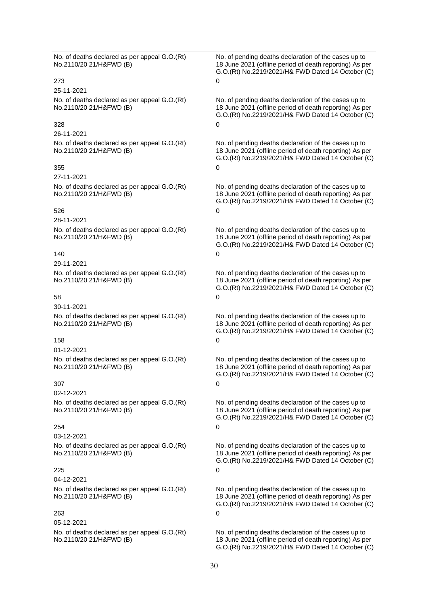No. of deaths declared as per appeal G.O.(Rt) No.2110/20 21/H&FWD (B)

### 273 0

25-11-2021 No. of deaths declared as per appeal G.O.(Rt) No.2110/20 21/H&FWD (B)

# $328$  0

### 26-11-2021

No. of deaths declared as per appeal G.O.(Rt) No.2110/20 21/H&FWD (B)

# $355$  0

### 27-11-2021

No. of deaths declared as per appeal G.O.(Rt) No.2110/20 21/H&FWD (B)

### 526 0

28-11-2021

No. of deaths declared as per appeal G.O.(Rt) No.2110/20 21/H&FWD (B)

### 140 0

29-11-2021

No. of deaths declared as per appeal G.O.(Rt) No.2110/20 21/H&FWD (B)

### 58 0

30-11-2021 No. of deaths declared as per appeal G.O.(Rt) No.2110/20 21/H&FWD (B)

# 158 0

01-12-2021

No. of deaths declared as per appeal G.O.(Rt) No.2110/20 21/H&FWD (B)

# 307 0

02-12-2021 No. of deaths declared as per appeal G.O.(Rt) No.2110/20 21/H&FWD (B)

### 254 0

03-12-2021 No. of deaths declared as per appeal G.O.(Rt) No.2110/20 21/H&FWD (B)

# 225 0

04-12-2021 No. of deaths declared as per appeal G.O.(Rt) No.2110/20 21/H&FWD (B)

### 263 0

05-12-2021 No. of deaths declared as per appeal G.O.(Rt) No.2110/20 21/H&FWD (B)

No. of pending deaths declaration of the cases up to 18 June 2021 (offline period of death reporting) As per G.O.(Rt) No.2219/2021/H& FWD Dated 14 October (C)

No. of pending deaths declaration of the cases up to 18 June 2021 (offline period of death reporting) As per G.O.(Rt) No.2219/2021/H& FWD Dated 14 October (C)

No. of pending deaths declaration of the cases up to 18 June 2021 (offline period of death reporting) As per G.O.(Rt) No.2219/2021/H& FWD Dated 14 October (C)

No. of pending deaths declaration of the cases up to 18 June 2021 (offline period of death reporting) As per G.O.(Rt) No.2219/2021/H& FWD Dated 14 October (C)

No. of pending deaths declaration of the cases up to 18 June 2021 (offline period of death reporting) As per G.O.(Rt) No.2219/2021/H& FWD Dated 14 October (C)

No. of pending deaths declaration of the cases up to 18 June 2021 (offline period of death reporting) As per G.O.(Rt) No.2219/2021/H& FWD Dated 14 October (C)

No. of pending deaths declaration of the cases up to 18 June 2021 (offline period of death reporting) As per G.O.(Rt) No.2219/2021/H& FWD Dated 14 October (C)

No. of pending deaths declaration of the cases up to 18 June 2021 (offline period of death reporting) As per G.O.(Rt) No.2219/2021/H& FWD Dated 14 October (C)

No. of pending deaths declaration of the cases up to 18 June 2021 (offline period of death reporting) As per G.O.(Rt) No.2219/2021/H& FWD Dated 14 October (C)

No. of pending deaths declaration of the cases up to 18 June 2021 (offline period of death reporting) As per G.O.(Rt) No.2219/2021/H& FWD Dated 14 October (C)

No. of pending deaths declaration of the cases up to 18 June 2021 (offline period of death reporting) As per G.O.(Rt) No.2219/2021/H& FWD Dated 14 October (C)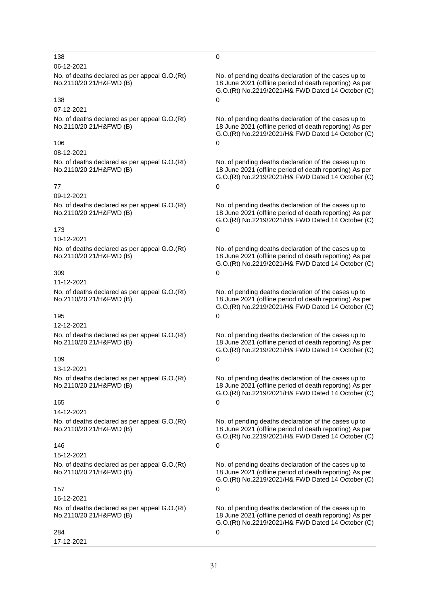# 138 0

# 06-12-2021

No. of deaths declared as per appeal G.O.(Rt) No.2110/20 21/H&FWD (B)

# 138 0

# 07-12-2021

No. of deaths declared as per appeal G.O.(Rt) No.2110/20 21/H&FWD (B)

### 106 0

08-12-2021 No. of deaths declared as per appeal G.O.(Rt) No.2110/20 21/H&FWD (B)

### $77$  0

09-12-2021 No. of deaths declared as per appeal G.O.(Rt) No.2110/20 21/H&FWD (B)

### 173 0

10-12-2021

No. of deaths declared as per appeal G.O.(Rt) No.2110/20 21/H&FWD (B)

### 309 0

11-12-2021

No. of deaths declared as per appeal G.O.(Rt) No.2110/20 21/H&FWD (B)

### 195 0

12-12-2021 No. of deaths declared as per appeal G.O.(Rt) No.2110/20 21/H&FWD (B)

# 109 0

13-12-2021 No. of deaths declared as per appeal G.O.(Rt) No.2110/20 21/H&FWD (B)

# 165 0

14-12-2021

No. of deaths declared as per appeal G.O.(Rt) No.2110/20 21/H&FWD (B)

# 146 0

15-12-2021

No. of deaths declared as per appeal G.O.(Rt) No.2110/20 21/H&FWD (B)

# 157 0

16-12-2021 No. of deaths declared as per appeal G.O.(Rt) No.2110/20 21/H&FWD (B)

# 284 0

17-12-2021

No. of pending deaths declaration of the cases up to 18 June 2021 (offline period of death reporting) As per G.O.(Rt) No.2219/2021/H& FWD Dated 14 October (C)

No. of pending deaths declaration of the cases up to 18 June 2021 (offline period of death reporting) As per G.O.(Rt) No.2219/2021/H& FWD Dated 14 October (C)

No. of pending deaths declaration of the cases up to 18 June 2021 (offline period of death reporting) As per G.O.(Rt) No.2219/2021/H& FWD Dated 14 October (C)

No. of pending deaths declaration of the cases up to 18 June 2021 (offline period of death reporting) As per G.O.(Rt) No.2219/2021/H& FWD Dated 14 October (C)

No. of pending deaths declaration of the cases up to 18 June 2021 (offline period of death reporting) As per G.O.(Rt) No.2219/2021/H& FWD Dated 14 October (C)

No. of pending deaths declaration of the cases up to 18 June 2021 (offline period of death reporting) As per G.O.(Rt) No.2219/2021/H& FWD Dated 14 October (C)

No. of pending deaths declaration of the cases up to 18 June 2021 (offline period of death reporting) As per G.O.(Rt) No.2219/2021/H& FWD Dated 14 October (C)

No. of pending deaths declaration of the cases up to 18 June 2021 (offline period of death reporting) As per G.O.(Rt) No.2219/2021/H& FWD Dated 14 October (C)

No. of pending deaths declaration of the cases up to 18 June 2021 (offline period of death reporting) As per G.O.(Rt) No.2219/2021/H& FWD Dated 14 October (C)

No. of pending deaths declaration of the cases up to 18 June 2021 (offline period of death reporting) As per G.O.(Rt) No.2219/2021/H& FWD Dated 14 October (C)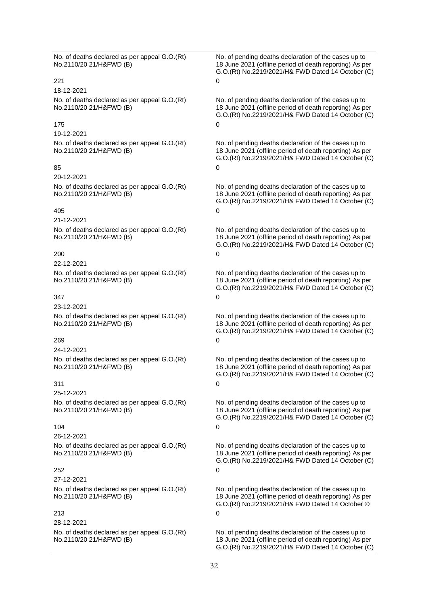No. of deaths declared as per appeal G.O.(Rt) No.2110/20 21/H&FWD (B)

### 221 0

18-12-2021 No. of deaths declared as per appeal G.O.(Rt) No.2110/20 21/H&FWD (B)

### $175$  0

### 19-12-2021

No. of deaths declared as per appeal G.O.(Rt) No.2110/20 21/H&FWD (B)

# $85$  0

# 20-12-2021

No. of deaths declared as per appeal G.O.(Rt) No.2110/20 21/H&FWD (B)

### 405 0

21-12-2021

No. of deaths declared as per appeal G.O.(Rt) No.2110/20 21/H&FWD (B)

# 200 0

# 22-12-2021

No. of deaths declared as per appeal G.O.(Rt) No.2110/20 21/H&FWD (B)

### $347$  0

23-12-2021 No. of deaths declared as per appeal G.O.(Rt) No.2110/20 21/H&FWD (B)

# 269 0

24-12-2021 No. of deaths declared as per appeal G.O.(Rt) No.2110/20 21/H&FWD (B)

# $311$  0

25-12-2021 No. of deaths declared as per appeal G.O.(Rt) No.2110/20 21/H&FWD (B)

### $104$  0

# 26-12-2021 No. of deaths declared as per appeal G.O.(Rt) No.2110/20 21/H&FWD (B)

# 252 0

# 27-12-2021

No. of deaths declared as per appeal G.O.(Rt) No.2110/20 21/H&FWD (B)

# 213 0

28-12-2021 No. of deaths declared as per appeal G.O.(Rt) No.2110/20 21/H&FWD (B)

No. of pending deaths declaration of the cases up to 18 June 2021 (offline period of death reporting) As per G.O.(Rt) No.2219/2021/H& FWD Dated 14 October (C)

No. of pending deaths declaration of the cases up to 18 June 2021 (offline period of death reporting) As per G.O.(Rt) No.2219/2021/H& FWD Dated 14 October (C)

No. of pending deaths declaration of the cases up to 18 June 2021 (offline period of death reporting) As per G.O.(Rt) No.2219/2021/H& FWD Dated 14 October (C)

No. of pending deaths declaration of the cases up to 18 June 2021 (offline period of death reporting) As per G.O.(Rt) No.2219/2021/H& FWD Dated 14 October (C)

No. of pending deaths declaration of the cases up to 18 June 2021 (offline period of death reporting) As per G.O.(Rt) No.2219/2021/H& FWD Dated 14 October (C)

No. of pending deaths declaration of the cases up to 18 June 2021 (offline period of death reporting) As per G.O.(Rt) No.2219/2021/H& FWD Dated 14 October (C)

No. of pending deaths declaration of the cases up to 18 June 2021 (offline period of death reporting) As per G.O.(Rt) No.2219/2021/H& FWD Dated 14 October (C)

No. of pending deaths declaration of the cases up to 18 June 2021 (offline period of death reporting) As per G.O.(Rt) No.2219/2021/H& FWD Dated 14 October (C)

No. of pending deaths declaration of the cases up to 18 June 2021 (offline period of death reporting) As per G.O.(Rt) No.2219/2021/H& FWD Dated 14 October (C)

No. of pending deaths declaration of the cases up to 18 June 2021 (offline period of death reporting) As per G.O.(Rt) No.2219/2021/H& FWD Dated 14 October (C)

No. of pending deaths declaration of the cases up to 18 June 2021 (offline period of death reporting) As per G.O.(Rt) No.2219/2021/H& FWD Dated 14 October ©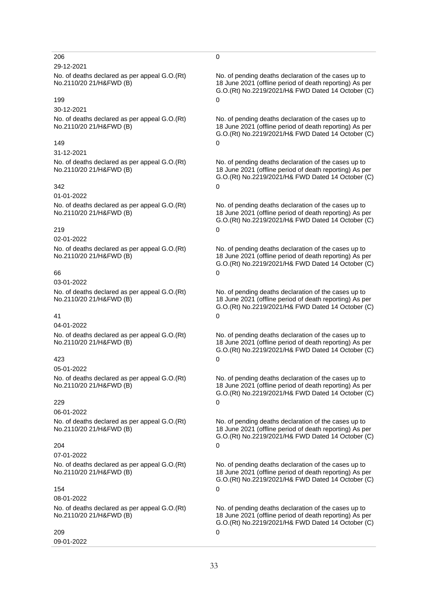# 206 0

# 29-12-2021

No. of deaths declared as per appeal G.O.(Rt) No.2110/20 21/H&FWD (B)

# 199 0

# 30-12-2021

No. of deaths declared as per appeal G.O.(Rt) No.2110/20 21/H&FWD (B)

### 149 0

31-12-2021 No. of deaths declared as per appeal G.O.(Rt) No.2110/20 21/H&FWD (B)

### $342$  0

01-01-2022 No. of deaths declared as per appeal G.O.(Rt) No.2110/20 21/H&FWD (B)

### 219 0

02-01-2022

No. of deaths declared as per appeal G.O.(Rt) No.2110/20 21/H&FWD (B)

# 66 0

03-01-2022

No. of deaths declared as per appeal G.O.(Rt) No.2110/20 21/H&FWD (B)

# 41 0

04-01-2022 No. of deaths declared as per appeal G.O.(Rt) No.2110/20 21/H&FWD (B)

# 423 0

05-01-2022 No. of deaths declared as per appeal G.O.(Rt) No.2110/20 21/H&FWD (B)

# 229 0

06-01-2022

No. of deaths declared as per appeal G.O.(Rt) No.2110/20 21/H&FWD (B)

# 204 0

07-01-2022

No. of deaths declared as per appeal G.O.(Rt) No.2110/20 21/H&FWD (B)

# 154 0

08-01-2022 No. of deaths declared as per appeal G.O.(Rt) No.2110/20 21/H&FWD (B)

209 0

09-01-2022

No. of pending deaths declaration of the cases up to 18 June 2021 (offline period of death reporting) As per G.O.(Rt) No.2219/2021/H& FWD Dated 14 October (C)

No. of pending deaths declaration of the cases up to 18 June 2021 (offline period of death reporting) As per G.O.(Rt) No.2219/2021/H& FWD Dated 14 October (C)

No. of pending deaths declaration of the cases up to 18 June 2021 (offline period of death reporting) As per G.O.(Rt) No.2219/2021/H& FWD Dated 14 October (C)

No. of pending deaths declaration of the cases up to 18 June 2021 (offline period of death reporting) As per G.O.(Rt) No.2219/2021/H& FWD Dated 14 October (C)

No. of pending deaths declaration of the cases up to 18 June 2021 (offline period of death reporting) As per G.O.(Rt) No.2219/2021/H& FWD Dated 14 October (C)

No. of pending deaths declaration of the cases up to 18 June 2021 (offline period of death reporting) As per G.O.(Rt) No.2219/2021/H& FWD Dated 14 October (C)

No. of pending deaths declaration of the cases up to 18 June 2021 (offline period of death reporting) As per G.O.(Rt) No.2219/2021/H& FWD Dated 14 October (C)

No. of pending deaths declaration of the cases up to 18 June 2021 (offline period of death reporting) As per G.O.(Rt) No.2219/2021/H& FWD Dated 14 October (C)

No. of pending deaths declaration of the cases up to 18 June 2021 (offline period of death reporting) As per G.O.(Rt) No.2219/2021/H& FWD Dated 14 October (C)

No. of pending deaths declaration of the cases up to 18 June 2021 (offline period of death reporting) As per G.O.(Rt) No.2219/2021/H& FWD Dated 14 October (C)